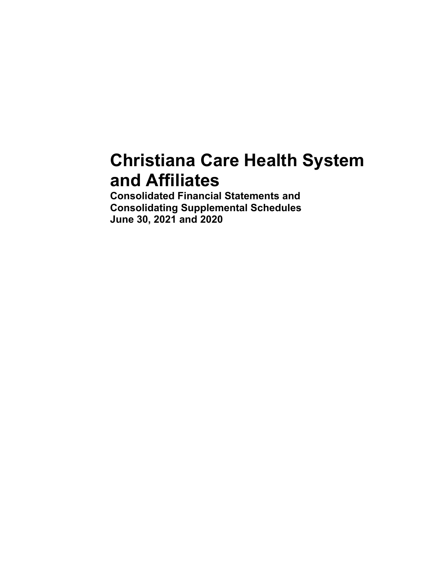# **Christiana Care Health System and Affiliates**

**Consolidated Financial Statements and Consolidating Supplemental Schedules June 30, 2021 and 2020**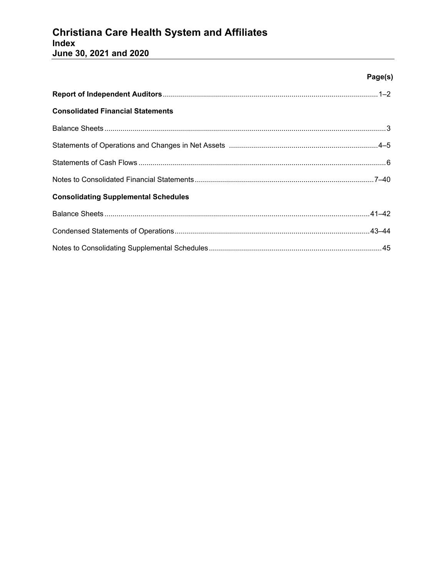# **Christiana Care Health System and Affiliates Index June 30, 2021 and 2020**

# **Page(s)**

| <b>Consolidated Financial Statements</b>    |  |
|---------------------------------------------|--|
|                                             |  |
|                                             |  |
|                                             |  |
|                                             |  |
| <b>Consolidating Supplemental Schedules</b> |  |
|                                             |  |
|                                             |  |
|                                             |  |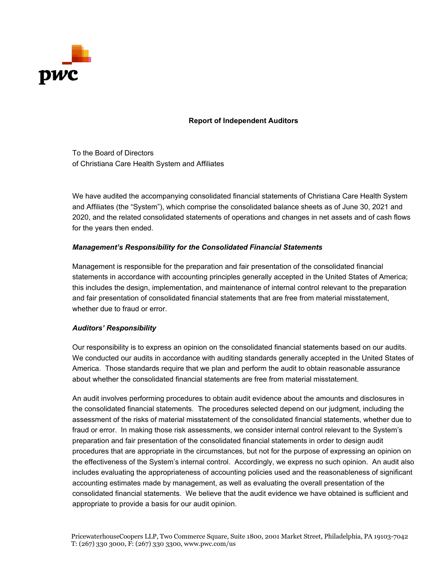

# **Report of Independent Auditors**

To the Board of Directors of Christiana Care Health System and Affiliates

We have audited the accompanying consolidated financial statements of Christiana Care Health System and Affiliates (the "System"), which comprise the consolidated balance sheets as of June 30, 2021 and 2020, and the related consolidated statements of operations and changes in net assets and of cash flows for the years then ended.

# *Management's Responsibility for the Consolidated Financial Statements*

Management is responsible for the preparation and fair presentation of the consolidated financial statements in accordance with accounting principles generally accepted in the United States of America; this includes the design, implementation, and maintenance of internal control relevant to the preparation and fair presentation of consolidated financial statements that are free from material misstatement, whether due to fraud or error.

# *Auditors' Responsibility*

Our responsibility is to express an opinion on the consolidated financial statements based on our audits. We conducted our audits in accordance with auditing standards generally accepted in the United States of America. Those standards require that we plan and perform the audit to obtain reasonable assurance about whether the consolidated financial statements are free from material misstatement.

An audit involves performing procedures to obtain audit evidence about the amounts and disclosures in the consolidated financial statements. The procedures selected depend on our judgment, including the assessment of the risks of material misstatement of the consolidated financial statements, whether due to fraud or error. In making those risk assessments, we consider internal control relevant to the System's preparation and fair presentation of the consolidated financial statements in order to design audit procedures that are appropriate in the circumstances, but not for the purpose of expressing an opinion on the effectiveness of the System's internal control. Accordingly, we express no such opinion. An audit also includes evaluating the appropriateness of accounting policies used and the reasonableness of significant accounting estimates made by management, as well as evaluating the overall presentation of the consolidated financial statements. We believe that the audit evidence we have obtained is sufficient and appropriate to provide a basis for our audit opinion.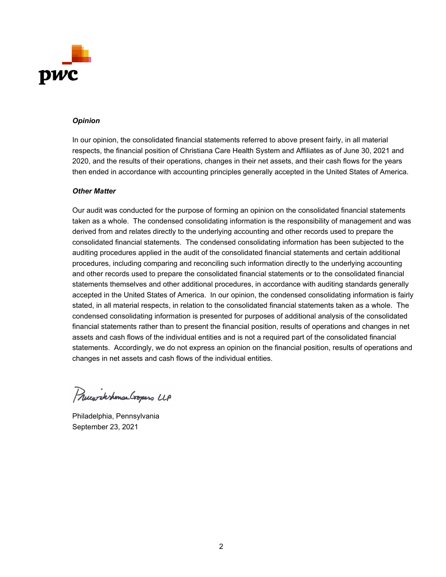

# *Opinion*

In our opinion, the consolidated financial statements referred to above present fairly, in all material respects, the financial position of Christiana Care Health System and Affiliates as of June 30, 2021 and 2020, and the results of their operations, changes in their net assets, and their cash flows for the years then ended in accordance with accounting principles generally accepted in the United States of America.

# *Other Matter*

Our audit was conducted for the purpose of forming an opinion on the consolidated financial statements taken as a whole. The condensed consolidating information is the responsibility of management and was derived from and relates directly to the underlying accounting and other records used to prepare the consolidated financial statements. The condensed consolidating information has been subjected to the auditing procedures applied in the audit of the consolidated financial statements and certain additional procedures, including comparing and reconciling such information directly to the underlying accounting and other records used to prepare the consolidated financial statements or to the consolidated financial statements themselves and other additional procedures, in accordance with auditing standards generally accepted in the United States of America. In our opinion, the condensed consolidating information is fairly stated, in all material respects, in relation to the consolidated financial statements taken as a whole. The condensed consolidating information is presented for purposes of additional analysis of the consolidated financial statements rather than to present the financial position, results of operations and changes in net assets and cash flows of the individual entities and is not a required part of the consolidated financial statements. Accordingly, we do not express an opinion on the financial position, results of operations and changes in net assets and cash flows of the individual entities.

Princerskshman Cropers LLP

Philadelphia, Pennsylvania September 23, 2021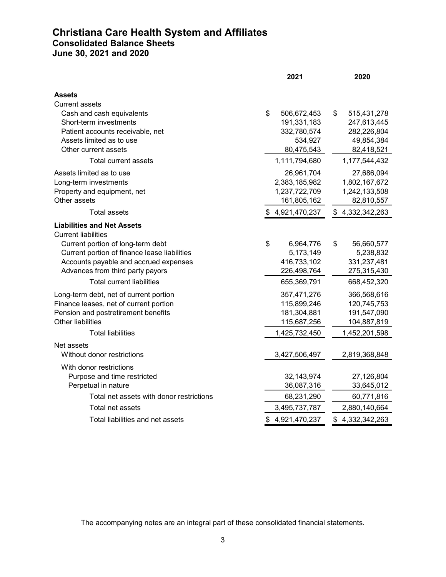# **Christiana Care Health System and Affiliates Consolidated Balance Sheets June 30, 2021 and 2020**

**2021 2020 Assets** Current assets Cash and cash equivalents **but a set of the Cash and Cash equivalents but a set of the Cash 3**  $\frac{1}{278}$ Short-term investments 191,331,183 247,613,445 Patient accounts receivable, net 332,780,574 282,226,804 Assets limited as to use 634,927 49,854,384 Other current assets 80,475,543 82,418,521 Total current assets 1,111,794,680 1,177,544,432 Assets limited as to use 26,961,704 27,686,094 Long-term investments 2,383,185,982 1,802,167,672 Property and equipment, net 1,237,722,709 1,242,133,508 Other assets 161,805,162 82,810,557 Total assets  $$ 4,921,470,237 $ 4,332,342,263$ **Liabilities and Net Assets** Current liabilities Current portion of long-term debt \$ 6,964,776 \$ 56,660,577 Current portion of finance lease liabilities 6,173,149 5,238,832 Accounts payable and accrued expenses 416,733,102 331,237,481 Advances from third party payors 226,498,764 275,315,430 Total current liabilities 655,369,791 668,452,320 Long-term debt, net of current portion 357,471,276 366,568,616 Finance leases, net of current portion 115,899,246 120,745,753 Pension and postretirement benefits 181,304,881 191,547,090 Other liabilities 115,687,256 104,887,819 Total liabilities 1,425,732,450 1,452,201,598 Net assets Without donor restrictions 3,427,506,497 2,819,368,848 With donor restrictions Purpose and time restricted 32,143,974 27,126,804 Perpetual in nature 36,087,316 33,645,012 Total net assets with donor restrictions 68,231,290 60,771,816 Total net assets 3,495,737,787 2,880,140,664 Total liabilities and net assets  $$ 4,921,470,237 $ 4,332,342,263$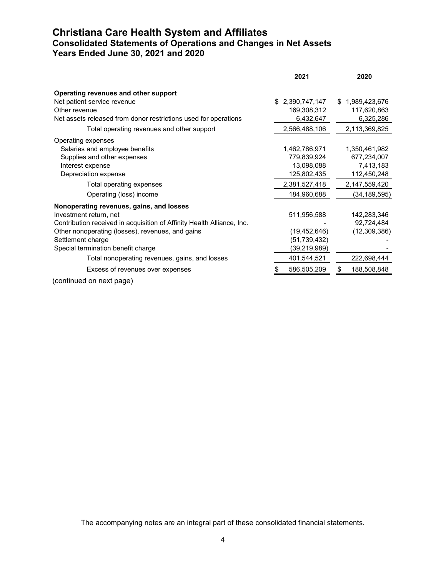# **Christiana Care Health System and Affiliates Consolidated Statements of Operations and Changes in Net Assets Years Ended June 30, 2021 and 2020**

|                                                                        | 2021            | 2020              |
|------------------------------------------------------------------------|-----------------|-------------------|
| Operating revenues and other support                                   |                 |                   |
| Net patient service revenue                                            | \$2,390,747,147 | \$1,989,423,676   |
| Other revenue                                                          | 169,308,312     | 117,620,863       |
| Net assets released from donor restrictions used for operations        | 6,432,647       | 6,325,286         |
| Total operating revenues and other support                             | 2,566,488,106   | 2,113,369,825     |
| Operating expenses                                                     |                 |                   |
| Salaries and employee benefits                                         | 1,462,786,971   | 1,350,461,982     |
| Supplies and other expenses                                            | 779,839,924     | 677,234,007       |
| Interest expense                                                       | 13,098,088      | 7,413,183         |
| Depreciation expense                                                   | 125,802,435     | 112,450,248       |
| Total operating expenses                                               | 2,381,527,418   | 2,147,559,420     |
| Operating (loss) income                                                | 184,960,688     | (34, 189, 595)    |
| Nonoperating revenues, gains, and losses                               |                 |                   |
| Investment return, net                                                 | 511,956,588     | 142,283,346       |
| Contribution received in acquisition of Affinity Health Alliance, Inc. |                 | 92,724,484        |
| Other nonoperating (losses), revenues, and gains                       | (19, 452, 646)  | (12, 309, 386)    |
| Settlement charge                                                      | (51, 739, 432)  |                   |
| Special termination benefit charge                                     | (39,219,989)    |                   |
| Total nonoperating revenues, gains, and losses                         | 401,544,521     | 222,698,444       |
| Excess of revenues over expenses                                       | 586,505,209     | 188,508,848<br>\$ |
| (continued on next page)                                               |                 |                   |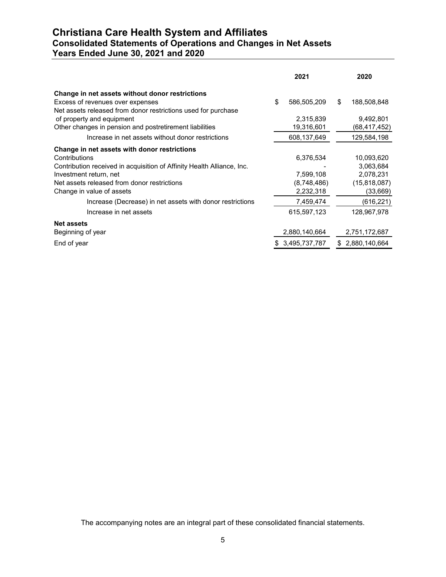# **Christiana Care Health System and Affiliates Consolidated Statements of Operations and Changes in Net Assets Years Ended June 30, 2021 and 2020**

|                                                                        | 2021              | 2020              |
|------------------------------------------------------------------------|-------------------|-------------------|
| Change in net assets without donor restrictions                        |                   |                   |
| Excess of revenues over expenses                                       | \$<br>586,505,209 | \$<br>188,508,848 |
| Net assets released from donor restrictions used for purchase          |                   |                   |
| of property and equipment                                              | 2,315,839         | 9,492,801         |
| Other changes in pension and postretirement liabilities                | 19,316,601        | (68,417,452)      |
| Increase in net assets without donor restrictions                      | 608,137,649       | 129,584,198       |
| Change in net assets with donor restrictions                           |                   |                   |
| Contributions                                                          | 6,376,534         | 10,093,620        |
| Contribution received in acquisition of Affinity Health Alliance, Inc. |                   | 3,063,684         |
| Investment return, net                                                 | 7,599,108         | 2,078,231         |
| Net assets released from donor restrictions                            | (8,748,486)       | (15,818,087)      |
| Change in value of assets                                              | 2,232,318         | (33, 669)         |
| Increase (Decrease) in net assets with donor restrictions              | 7,459,474         | (616,221)         |
| Increase in net assets                                                 | 615,597,123       | 128,967,978       |
| <b>Net assets</b>                                                      |                   |                   |
| Beginning of year                                                      | 2,880,140,664     | 2,751,172,687     |
| End of year                                                            | \$3,495,737,787   | \$ 2,880,140,664  |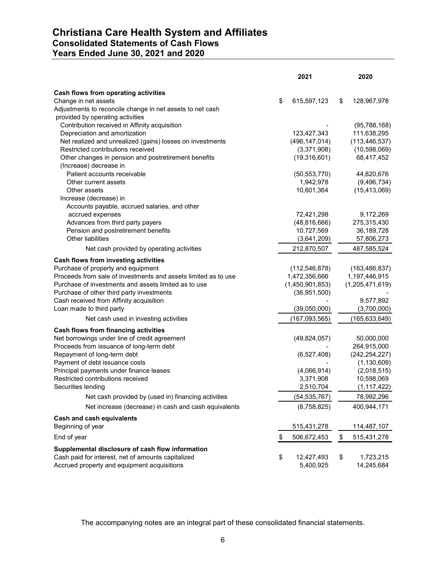# **Christiana Care Health System and Affiliates Consolidated Statements of Cash Flows Years Ended June 30, 2021 and 2020**

|                                                                | 2021              | 2020              |
|----------------------------------------------------------------|-------------------|-------------------|
| Cash flows from operating activities                           |                   |                   |
| Change in net assets                                           | \$<br>615,597,123 | \$<br>128,967,978 |
| Adjustments to reconcile change in net assets to net cash      |                   |                   |
| provided by operating activities                               |                   |                   |
| Contribution received in Affinity acquisition                  |                   | (95, 788, 168)    |
| Depreciation and amortization                                  | 123,427,343       | 111,638,295       |
| Net realized and unrealized (gains) losses on investments      | (496, 147, 014)   | (113, 446, 537)   |
| Restricted contributions received                              | (3,371,908)       | (10, 598, 069)    |
| Other changes in pension and postretirement benefits           | (19,316,601)      | 68,417,452        |
| (Increase) decrease in                                         |                   |                   |
| Patient accounts receivable                                    | (50, 553, 770)    | 44,820,676        |
| Other current assets                                           | 1,942,978         | (9, 496, 734)     |
| Other assets                                                   | 10,601,364        | (15, 413, 069)    |
| Increase (decrease) in                                         |                   |                   |
| Accounts payable, accrued salaries, and other                  |                   |                   |
| accrued expenses                                               | 72,421,298        | 9,172,269         |
| Advances from third party payers                               | (48, 816, 666)    | 275,315,430       |
| Pension and postretirement benefits                            | 10,727,569        | 36,189,728        |
| Other liabilities                                              | (3,641,209)       | 57,806,273        |
| Net cash provided by operating activities                      | 212,870,507       | 487,585,524       |
| Cash flows from investing activities                           |                   |                   |
| Purchase of property and equipment                             | (112, 546, 878)   | (163, 486, 837)   |
| Proceeds from sale of investments and assets limited as to use | 1,472,356,666     | 1,197,446,915     |
| Purchase of investments and assets limited as to use           | (1,450,901,853)   | (1,205,471,619)   |
| Purchase of other third party investments                      | (36,951,500)      |                   |
| Cash received from Affinity acquisition                        |                   | 9,577,892         |
| Loan made to third party                                       | (39,050,000)      | (3,700,000)       |
| Net cash used in investing activities                          | (167, 093, 565)   | (165, 633, 649)   |
| Cash flows from financing activities                           |                   |                   |
| Net borrowings under line of credit agreement                  | (49, 824, 057)    | 50,000,000        |
| Proceeds from issuance of long-term debt                       |                   | 264,915,000       |
| Repayment of long-term debt                                    | (6,527,408)       | (242, 254, 227)   |
| Payment of debt issuance costs                                 |                   | (1, 130, 609)     |
| Principal payments under finance leases                        | (4,066,914)       | (2,018,515)       |
| Restricted contributions received                              | 3,371,908         | 10,598,069        |
| Securities lending                                             | 2,510,704         | (1, 117, 422)     |
| Net cash provided by (used in) financing activities            | (54, 535, 767)    | 78,992,296        |
| Net increase (decrease) in cash and cash equivalents           | (8,758,825)       | 400,944,171       |
| Cash and cash equivalents                                      |                   |                   |
| Beginning of year                                              | 515,431,278       | 114,487,107       |
| End of year                                                    | 506,672,453<br>\$ | \$<br>515,431,278 |
| Supplemental disclosure of cash flow information               |                   |                   |
| Cash paid for interest, net of amounts capitalized             | \$<br>12,427,493  | \$<br>1,723,215   |
| Accrued property and equipment acquisitions                    | 5,400,925         | 14,245,684        |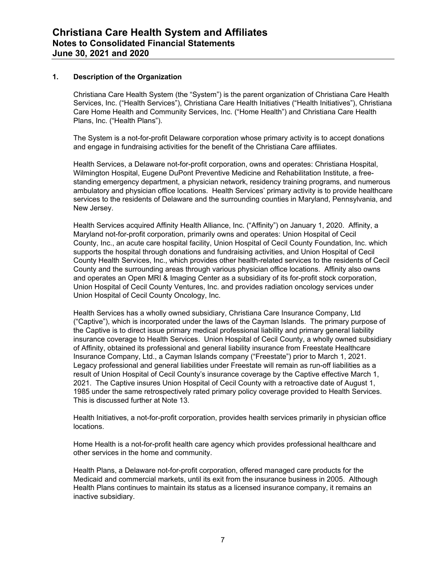# **1. Description of the Organization**

Christiana Care Health System (the "System") is the parent organization of Christiana Care Health Services, Inc. ("Health Services"), Christiana Care Health Initiatives ("Health Initiatives"), Christiana Care Home Health and Community Services, Inc. ("Home Health") and Christiana Care Health Plans, Inc. ("Health Plans").

The System is a not-for-profit Delaware corporation whose primary activity is to accept donations and engage in fundraising activities for the benefit of the Christiana Care affiliates.

Health Services, a Delaware not-for-profit corporation, owns and operates: Christiana Hospital, Wilmington Hospital, Eugene DuPont Preventive Medicine and Rehabilitation Institute, a freestanding emergency department, a physician network, residency training programs, and numerous ambulatory and physician office locations. Health Services' primary activity is to provide healthcare services to the residents of Delaware and the surrounding counties in Maryland, Pennsylvania, and New Jersey.

Health Services acquired Affinity Health Alliance, Inc. ("Affinity") on January 1, 2020. Affinity, a Maryland not-for-profit corporation, primarily owns and operates: Union Hospital of Cecil County, Inc., an acute care hospital facility, Union Hospital of Cecil County Foundation, Inc. which supports the hospital through donations and fundraising activities, and Union Hospital of Cecil County Health Services, Inc., which provides other health-related services to the residents of Cecil County and the surrounding areas through various physician office locations. Affinity also owns and operates an Open MRI & Imaging Center as a subsidiary of its for-profit stock corporation, Union Hospital of Cecil County Ventures, Inc. and provides radiation oncology services under Union Hospital of Cecil County Oncology, Inc.

Health Services has a wholly owned subsidiary, Christiana Care Insurance Company, Ltd ("Captive"), which is incorporated under the laws of the Cayman Islands. The primary purpose of the Captive is to direct issue primary medical professional liability and primary general liability insurance coverage to Health Services. Union Hospital of Cecil County, a wholly owned subsidiary of Affinity, obtained its professional and general liability insurance from Freestate Healthcare Insurance Company, Ltd., a Cayman Islands company ("Freestate") prior to March 1, 2021. Legacy professional and general liabilities under Freestate will remain as run-off liabilities as a result of Union Hospital of Cecil County's insurance coverage by the Captive effective March 1, 2021. The Captive insures Union Hospital of Cecil County with a retroactive date of August 1, 1985 under the same retrospectively rated primary policy coverage provided to Health Services. This is discussed further at Note 13.

Health Initiatives, a not-for-profit corporation, provides health services primarily in physician office locations.

Home Health is a not-for-profit health care agency which provides professional healthcare and other services in the home and community.

Health Plans, a Delaware not-for-profit corporation, offered managed care products for the Medicaid and commercial markets, until its exit from the insurance business in 2005. Although Health Plans continues to maintain its status as a licensed insurance company, it remains an inactive subsidiary.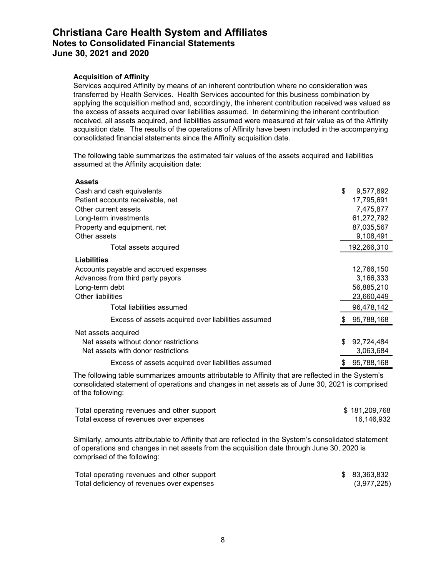# **Acquisition of Affinity**

Services acquired Affinity by means of an inherent contribution where no consideration was transferred by Health Services. Health Services accounted for this business combination by applying the acquisition method and, accordingly, the inherent contribution received was valued as the excess of assets acquired over liabilities assumed. In determining the inherent contribution received, all assets acquired, and liabilities assumed were measured at fair value as of the Affinity acquisition date. The results of the operations of Affinity have been included in the accompanying consolidated financial statements since the Affinity acquisition date.

The following table summarizes the estimated fair values of the assets acquired and liabilities assumed at the Affinity acquisition date:

| <b>Assets</b>                                      |                  |
|----------------------------------------------------|------------------|
| Cash and cash equivalents                          | \$<br>9,577,892  |
| Patient accounts receivable, net                   | 17,795,691       |
| Other current assets                               | 7,475,877        |
| Long-term investments                              | 61,272,792       |
| Property and equipment, net                        | 87,035,567       |
| Other assets                                       | 9,108,491        |
| Total assets acquired                              | 192,266,310      |
| Liabilities                                        |                  |
| Accounts payable and accrued expenses              | 12,766,150       |
| Advances from third party payors                   | 3,166,333        |
| Long-term debt                                     | 56,885,210       |
| Other liabilities                                  | 23,660,449       |
| Total liabilities assumed                          | 96,478,142       |
| Excess of assets acquired over liabilities assumed | 95,788,168<br>S  |
| Net assets acquired                                |                  |
| Net assets without donor restrictions              | 92,724,484<br>\$ |
| Net assets with donor restrictions                 | 3,063,684        |
| Excess of assets acquired over liabilities assumed | 95,788,168       |

The following table summarizes amounts attributable to Affinity that are reflected in the System's consolidated statement of operations and changes in net assets as of June 30, 2021 is comprised of the following:

| Total operating revenues and other support | \$181,209,768 |
|--------------------------------------------|---------------|
| Total excess of revenues over expenses     | 16,146,932    |

Similarly, amounts attributable to Affinity that are reflected in the System's consolidated statement of operations and changes in net assets from the acquisition date through June 30, 2020 is comprised of the following:

| Total operating revenues and other support | \$ 83,363,832 |
|--------------------------------------------|---------------|
| Total deficiency of revenues over expenses | (3,977,225)   |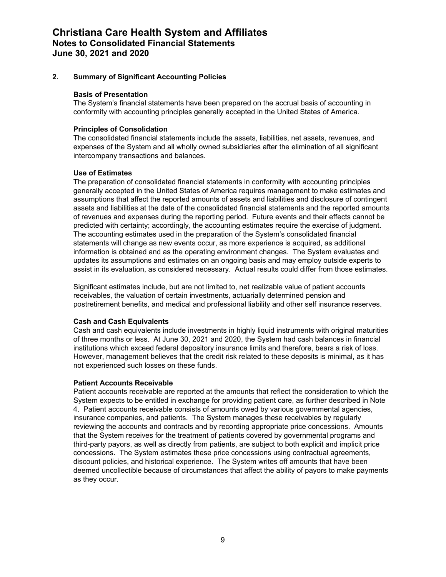# **2. Summary of Significant Accounting Policies**

#### **Basis of Presentation**

The System's financial statements have been prepared on the accrual basis of accounting in conformity with accounting principles generally accepted in the United States of America.

# **Principles of Consolidation**

The consolidated financial statements include the assets, liabilities, net assets, revenues, and expenses of the System and all wholly owned subsidiaries after the elimination of all significant intercompany transactions and balances.

## **Use of Estimates**

The preparation of consolidated financial statements in conformity with accounting principles generally accepted in the United States of America requires management to make estimates and assumptions that affect the reported amounts of assets and liabilities and disclosure of contingent assets and liabilities at the date of the consolidated financial statements and the reported amounts of revenues and expenses during the reporting period. Future events and their effects cannot be predicted with certainty; accordingly, the accounting estimates require the exercise of judgment. The accounting estimates used in the preparation of the System's consolidated financial statements will change as new events occur, as more experience is acquired, as additional information is obtained and as the operating environment changes. The System evaluates and updates its assumptions and estimates on an ongoing basis and may employ outside experts to assist in its evaluation, as considered necessary. Actual results could differ from those estimates.

Significant estimates include, but are not limited to, net realizable value of patient accounts receivables, the valuation of certain investments, actuarially determined pension and postretirement benefits, and medical and professional liability and other self insurance reserves.

## **Cash and Cash Equivalents**

Cash and cash equivalents include investments in highly liquid instruments with original maturities of three months or less. At June 30, 2021 and 2020, the System had cash balances in financial institutions which exceed federal depository insurance limits and therefore, bears a risk of loss. However, management believes that the credit risk related to these deposits is minimal, as it has not experienced such losses on these funds.

## **Patient Accounts Receivable**

Patient accounts receivable are reported at the amounts that reflect the consideration to which the System expects to be entitled in exchange for providing patient care, as further described in Note 4. Patient accounts receivable consists of amounts owed by various governmental agencies, insurance companies, and patients. The System manages these receivables by regularly reviewing the accounts and contracts and by recording appropriate price concessions. Amounts that the System receives for the treatment of patients covered by governmental programs and third-party payors, as well as directly from patients, are subject to both explicit and implicit price concessions. The System estimates these price concessions using contractual agreements, discount policies, and historical experience. The System writes off amounts that have been deemed uncollectible because of circumstances that affect the ability of payors to make payments as they occur.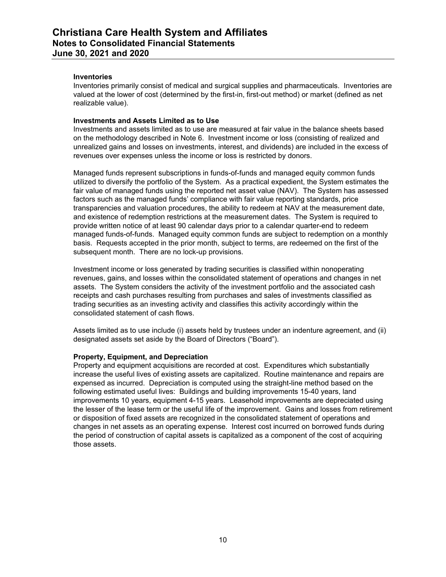## **Inventories**

Inventories primarily consist of medical and surgical supplies and pharmaceuticals. Inventories are valued at the lower of cost (determined by the first-in, first-out method) or market (defined as net realizable value).

# **Investments and Assets Limited as to Use**

Investments and assets limited as to use are measured at fair value in the balance sheets based on the methodology described in Note 6. Investment income or loss (consisting of realized and unrealized gains and losses on investments, interest, and dividends) are included in the excess of revenues over expenses unless the income or loss is restricted by donors.

Managed funds represent subscriptions in funds-of-funds and managed equity common funds utilized to diversify the portfolio of the System. As a practical expedient, the System estimates the fair value of managed funds using the reported net asset value (NAV). The System has assessed factors such as the managed funds' compliance with fair value reporting standards, price transparencies and valuation procedures, the ability to redeem at NAV at the measurement date, and existence of redemption restrictions at the measurement dates. The System is required to provide written notice of at least 90 calendar days prior to a calendar quarter-end to redeem managed funds-of-funds. Managed equity common funds are subject to redemption on a monthly basis. Requests accepted in the prior month, subject to terms, are redeemed on the first of the subsequent month. There are no lock-up provisions.

Investment income or loss generated by trading securities is classified within nonoperating revenues, gains, and losses within the consolidated statement of operations and changes in net assets. The System considers the activity of the investment portfolio and the associated cash receipts and cash purchases resulting from purchases and sales of investments classified as trading securities as an investing activity and classifies this activity accordingly within the consolidated statement of cash flows.

Assets limited as to use include (i) assets held by trustees under an indenture agreement, and (ii) designated assets set aside by the Board of Directors ("Board").

## **Property, Equipment, and Depreciation**

Property and equipment acquisitions are recorded at cost. Expenditures which substantially increase the useful lives of existing assets are capitalized. Routine maintenance and repairs are expensed as incurred. Depreciation is computed using the straight-line method based on the following estimated useful lives: Buildings and building improvements 15-40 years, land improvements 10 years, equipment 4-15 years. Leasehold improvements are depreciated using the lesser of the lease term or the useful life of the improvement. Gains and losses from retirement or disposition of fixed assets are recognized in the consolidated statement of operations and changes in net assets as an operating expense. Interest cost incurred on borrowed funds during the period of construction of capital assets is capitalized as a component of the cost of acquiring those assets.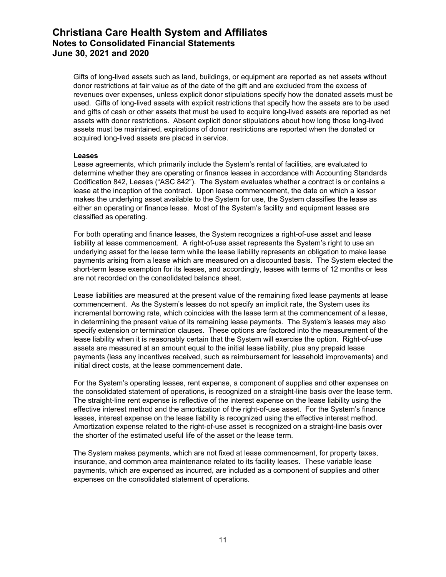Gifts of long-lived assets such as land, buildings, or equipment are reported as net assets without donor restrictions at fair value as of the date of the gift and are excluded from the excess of revenues over expenses, unless explicit donor stipulations specify how the donated assets must be used. Gifts of long-lived assets with explicit restrictions that specify how the assets are to be used and gifts of cash or other assets that must be used to acquire long-lived assets are reported as net assets with donor restrictions. Absent explicit donor stipulations about how long those long-lived assets must be maintained, expirations of donor restrictions are reported when the donated or acquired long-lived assets are placed in service.

## **Leases**

Lease agreements, which primarily include the System's rental of facilities, are evaluated to determine whether they are operating or finance leases in accordance with Accounting Standards Codification 842, Leases ("ASC 842"). The System evaluates whether a contract is or contains a lease at the inception of the contract. Upon lease commencement, the date on which a lessor makes the underlying asset available to the System for use, the System classifies the lease as either an operating or finance lease. Most of the System's facility and equipment leases are classified as operating.

For both operating and finance leases, the System recognizes a right-of-use asset and lease liability at lease commencement. A right-of-use asset represents the System's right to use an underlying asset for the lease term while the lease liability represents an obligation to make lease payments arising from a lease which are measured on a discounted basis. The System elected the short-term lease exemption for its leases, and accordingly, leases with terms of 12 months or less are not recorded on the consolidated balance sheet.

Lease liabilities are measured at the present value of the remaining fixed lease payments at lease commencement. As the System's leases do not specify an implicit rate, the System uses its incremental borrowing rate, which coincides with the lease term at the commencement of a lease, in determining the present value of its remaining lease payments. The System's leases may also specify extension or termination clauses. These options are factored into the measurement of the lease liability when it is reasonably certain that the System will exercise the option. Right-of-use assets are measured at an amount equal to the initial lease liability, plus any prepaid lease payments (less any incentives received, such as reimbursement for leasehold improvements) and initial direct costs, at the lease commencement date.

For the System's operating leases, rent expense, a component of supplies and other expenses on the consolidated statement of operations, is recognized on a straight-line basis over the lease term. The straight-line rent expense is reflective of the interest expense on the lease liability using the effective interest method and the amortization of the right-of-use asset. For the System's finance leases, interest expense on the lease liability is recognized using the effective interest method. Amortization expense related to the right-of-use asset is recognized on a straight-line basis over the shorter of the estimated useful life of the asset or the lease term.

The System makes payments, which are not fixed at lease commencement, for property taxes, insurance, and common area maintenance related to its facility leases. These variable lease payments, which are expensed as incurred, are included as a component of supplies and other expenses on the consolidated statement of operations.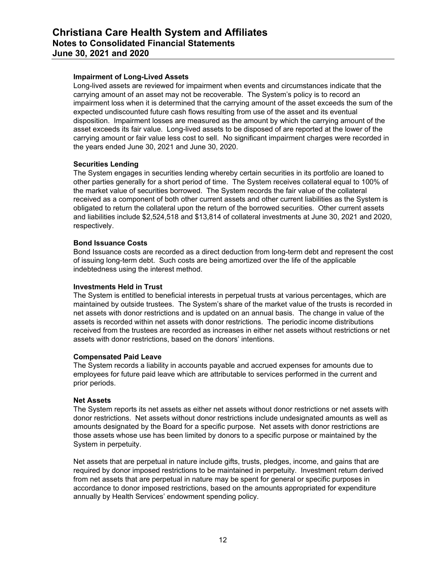# **Impairment of Long-Lived Assets**

Long-lived assets are reviewed for impairment when events and circumstances indicate that the carrying amount of an asset may not be recoverable. The System's policy is to record an impairment loss when it is determined that the carrying amount of the asset exceeds the sum of the expected undiscounted future cash flows resulting from use of the asset and its eventual disposition. Impairment losses are measured as the amount by which the carrying amount of the asset exceeds its fair value. Long-lived assets to be disposed of are reported at the lower of the carrying amount or fair value less cost to sell. No significant impairment charges were recorded in the years ended June 30, 2021 and June 30, 2020.

# **Securities Lending**

The System engages in securities lending whereby certain securities in its portfolio are loaned to other parties generally for a short period of time. The System receives collateral equal to 100% of the market value of securities borrowed. The System records the fair value of the collateral received as a component of both other current assets and other current liabilities as the System is obligated to return the collateral upon the return of the borrowed securities. Other current assets and liabilities include \$2,524,518 and \$13,814 of collateral investments at June 30, 2021 and 2020, respectively.

# **Bond Issuance Costs**

Bond Issuance costs are recorded as a direct deduction from long-term debt and represent the cost of issuing long-term debt. Such costs are being amortized over the life of the applicable indebtedness using the interest method.

## **Investments Held in Trust**

The System is entitled to beneficial interests in perpetual trusts at various percentages, which are maintained by outside trustees. The System's share of the market value of the trusts is recorded in net assets with donor restrictions and is updated on an annual basis. The change in value of the assets is recorded within net assets with donor restrictions. The periodic income distributions received from the trustees are recorded as increases in either net assets without restrictions or net assets with donor restrictions, based on the donors' intentions.

## **Compensated Paid Leave**

The System records a liability in accounts payable and accrued expenses for amounts due to employees for future paid leave which are attributable to services performed in the current and prior periods.

## **Net Assets**

The System reports its net assets as either net assets without donor restrictions or net assets with donor restrictions. Net assets without donor restrictions include undesignated amounts as well as amounts designated by the Board for a specific purpose. Net assets with donor restrictions are those assets whose use has been limited by donors to a specific purpose or maintained by the System in perpetuity.

Net assets that are perpetual in nature include gifts, trusts, pledges, income, and gains that are required by donor imposed restrictions to be maintained in perpetuity. Investment return derived from net assets that are perpetual in nature may be spent for general or specific purposes in accordance to donor imposed restrictions, based on the amounts appropriated for expenditure annually by Health Services' endowment spending policy.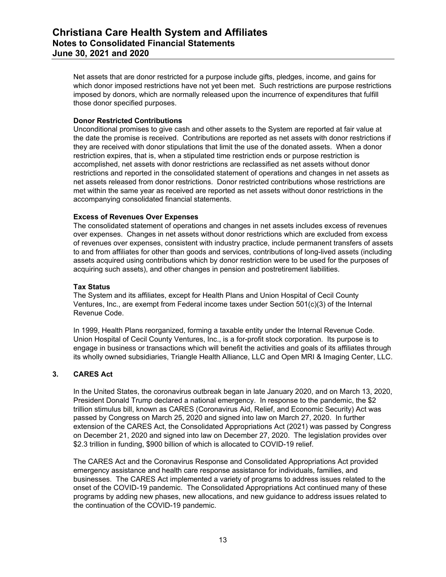Net assets that are donor restricted for a purpose include gifts, pledges, income, and gains for which donor imposed restrictions have not yet been met. Such restrictions are purpose restrictions imposed by donors, which are normally released upon the incurrence of expenditures that fulfill those donor specified purposes.

# **Donor Restricted Contributions**

Unconditional promises to give cash and other assets to the System are reported at fair value at the date the promise is received. Contributions are reported as net assets with donor restrictions if they are received with donor stipulations that limit the use of the donated assets. When a donor restriction expires, that is, when a stipulated time restriction ends or purpose restriction is accomplished, net assets with donor restrictions are reclassified as net assets without donor restrictions and reported in the consolidated statement of operations and changes in net assets as net assets released from donor restrictions. Donor restricted contributions whose restrictions are met within the same year as received are reported as net assets without donor restrictions in the accompanying consolidated financial statements.

# **Excess of Revenues Over Expenses**

The consolidated statement of operations and changes in net assets includes excess of revenues over expenses. Changes in net assets without donor restrictions which are excluded from excess of revenues over expenses, consistent with industry practice, include permanent transfers of assets to and from affiliates for other than goods and services, contributions of long-lived assets (including assets acquired using contributions which by donor restriction were to be used for the purposes of acquiring such assets), and other changes in pension and postretirement liabilities.

# **Tax Status**

The System and its affiliates, except for Health Plans and Union Hospital of Cecil County Ventures, Inc., are exempt from Federal income taxes under Section 501(c)(3) of the Internal Revenue Code.

In 1999, Health Plans reorganized, forming a taxable entity under the Internal Revenue Code. Union Hospital of Cecil County Ventures, Inc., is a for-profit stock corporation. Its purpose is to engage in business or transactions which will benefit the activities and goals of its affiliates through its wholly owned subsidiaries, Triangle Health Alliance, LLC and Open MRI & Imaging Center, LLC.

# **3. CARES Act**

In the United States, the coronavirus outbreak began in late January 2020, and on March 13, 2020, President Donald Trump declared a national emergency. In response to the pandemic, the \$2 trillion stimulus bill, known as CARES (Coronavirus Aid, Relief, and Economic Security) Act was passed by Congress on March 25, 2020 and signed into law on March 27, 2020. In further extension of the CARES Act, the Consolidated Appropriations Act (2021) was passed by Congress on December 21, 2020 and signed into law on December 27, 2020. The legislation provides over \$2.3 trillion in funding, \$900 billion of which is allocated to COVID-19 relief.

The CARES Act and the Coronavirus Response and Consolidated Appropriations Act provided emergency assistance and health care response assistance for individuals, families, and businesses. The CARES Act implemented a variety of programs to address issues related to the onset of the COVID-19 pandemic. The Consolidated Appropriations Act continued many of these programs by adding new phases, new allocations, and new guidance to address issues related to the continuation of the COVID-19 pandemic.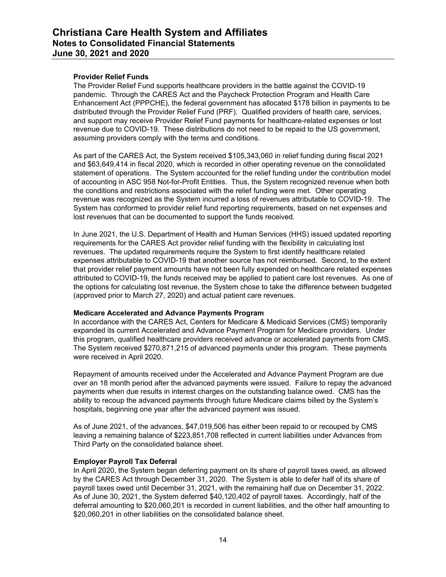# **Provider Relief Funds**

The Provider Relief Fund supports healthcare providers in the battle against the COVID-19 pandemic. Through the CARES Act and the Paycheck Protection Program and Health Care Enhancement Act (PPPCHE), the federal government has allocated \$178 billion in payments to be distributed through the Provider Relief Fund (PRF). Qualified providers of health care, services, and support may receive Provider Relief Fund payments for healthcare-related expenses or lost revenue due to COVID-19. These distributions do not need to be repaid to the US government, assuming providers comply with the terms and conditions.

As part of the CARES Act, the System received \$105,343,060 in relief funding during fiscal 2021 and \$63,649,414 in fiscal 2020, which is recorded in other operating revenue on the consolidated statement of operations. The System accounted for the relief funding under the contribution model of accounting in ASC 958 Not-for-Profit Entities. Thus, the System recognized revenue when both the conditions and restrictions associated with the relief funding were met. Other operating revenue was recognized as the System incurred a loss of revenues attributable to COVID-19. The System has conformed to provider relief fund reporting requirements, based on net expenses and lost revenues that can be documented to support the funds received.

In June 2021, the U.S. Department of Health and Human Services (HHS) issued updated reporting requirements for the CARES Act provider relief funding with the flexibility in calculating lost revenues. The updated requirements require the System to first identify healthcare related expenses attributable to COVID-19 that another source has not reimbursed. Second, to the extent that provider relief payment amounts have not been fully expended on healthcare related expenses attributed to COVID-19, the funds received may be applied to patient care lost revenues. As one of the options for calculating lost revenue, the System chose to take the difference between budgeted (approved prior to March 27, 2020) and actual patient care revenues.

## **Medicare Accelerated and Advance Payments Program**

In accordance with the CARES Act, Centers for Medicare & Medicaid Services (CMS) temporarily expanded its current Accelerated and Advance Payment Program for Medicare providers. Under this program, qualified healthcare providers received advance or accelerated payments from CMS. The System received \$270,871,215 of advanced payments under this program. These payments were received in April 2020.

Repayment of amounts received under the Accelerated and Advance Payment Program are due over an 18 month period after the advanced payments were issued. Failure to repay the advanced payments when due results in interest charges on the outstanding balance owed. CMS has the ability to recoup the advanced payments through future Medicare claims billed by the System's hospitals, beginning one year after the advanced payment was issued.

As of June 2021, of the advances, \$47,019,506 has either been repaid to or recouped by CMS leaving a remaining balance of \$223,851,708 reflected in current liabilities under Advances from Third Party on the consolidated balance sheet.

## **Employer Payroll Tax Deferral**

In April 2020, the System began deferring payment on its share of payroll taxes owed, as allowed by the CARES Act through December 31, 2020. The System is able to defer half of its share of payroll taxes owed until December 31, 2021, with the remaining half due on December 31, 2022. As of June 30, 2021, the System deferred \$40,120,402 of payroll taxes. Accordingly, half of the deferral amounting to \$20,060,201 is recorded in current liabilities, and the other half amounting to \$20,060,201 in other liabilities on the consolidated balance sheet.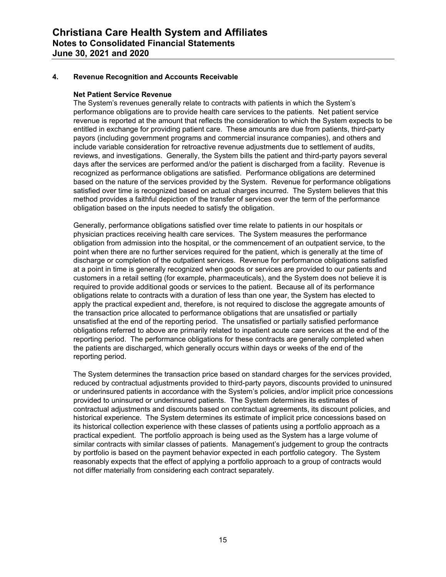# **4. Revenue Recognition and Accounts Receivable**

## **Net Patient Service Revenue**

The System's revenues generally relate to contracts with patients in which the System's performance obligations are to provide health care services to the patients. Net patient service revenue is reported at the amount that reflects the consideration to which the System expects to be entitled in exchange for providing patient care. These amounts are due from patients, third-party payors (including government programs and commercial insurance companies), and others and include variable consideration for retroactive revenue adjustments due to settlement of audits, reviews, and investigations. Generally, the System bills the patient and third-party payors several days after the services are performed and/or the patient is discharged from a facility. Revenue is recognized as performance obligations are satisfied. Performance obligations are determined based on the nature of the services provided by the System. Revenue for performance obligations satisfied over time is recognized based on actual charges incurred. The System believes that this method provides a faithful depiction of the transfer of services over the term of the performance obligation based on the inputs needed to satisfy the obligation.

Generally, performance obligations satisfied over time relate to patients in our hospitals or physician practices receiving health care services. The System measures the performance obligation from admission into the hospital, or the commencement of an outpatient service, to the point when there are no further services required for the patient, which is generally at the time of discharge or completion of the outpatient services. Revenue for performance obligations satisfied at a point in time is generally recognized when goods or services are provided to our patients and customers in a retail setting (for example, pharmaceuticals), and the System does not believe it is required to provide additional goods or services to the patient. Because all of its performance obligations relate to contracts with a duration of less than one year, the System has elected to apply the practical expedient and, therefore, is not required to disclose the aggregate amounts of the transaction price allocated to performance obligations that are unsatisfied or partially unsatisfied at the end of the reporting period. The unsatisfied or partially satisfied performance obligations referred to above are primarily related to inpatient acute care services at the end of the reporting period. The performance obligations for these contracts are generally completed when the patients are discharged, which generally occurs within days or weeks of the end of the reporting period.

The System determines the transaction price based on standard charges for the services provided, reduced by contractual adjustments provided to third-party payors, discounts provided to uninsured or underinsured patients in accordance with the System's policies, and/or implicit price concessions provided to uninsured or underinsured patients. The System determines its estimates of contractual adjustments and discounts based on contractual agreements, its discount policies, and historical experience. The System determines its estimate of implicit price concessions based on its historical collection experience with these classes of patients using a portfolio approach as a practical expedient. The portfolio approach is being used as the System has a large volume of similar contracts with similar classes of patients. Management's judgement to group the contracts by portfolio is based on the payment behavior expected in each portfolio category. The System reasonably expects that the effect of applying a portfolio approach to a group of contracts would not differ materially from considering each contract separately.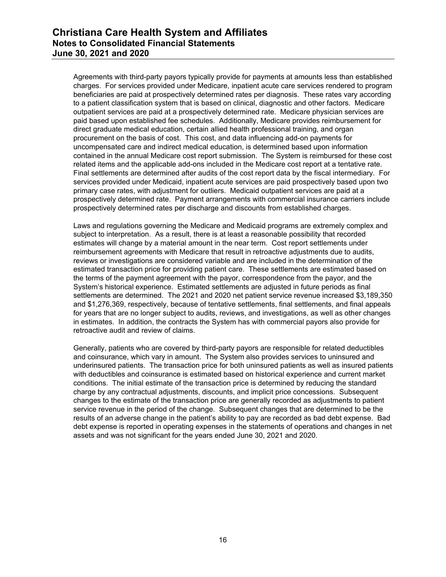Agreements with third-party payors typically provide for payments at amounts less than established charges. For services provided under Medicare, inpatient acute care services rendered to program beneficiaries are paid at prospectively determined rates per diagnosis. These rates vary according to a patient classification system that is based on clinical, diagnostic and other factors. Medicare outpatient services are paid at a prospectively determined rate. Medicare physician services are paid based upon established fee schedules. Additionally, Medicare provides reimbursement for direct graduate medical education, certain allied health professional training, and organ procurement on the basis of cost. This cost, and data influencing add-on payments for uncompensated care and indirect medical education, is determined based upon information contained in the annual Medicare cost report submission. The System is reimbursed for these cost related items and the applicable add-ons included in the Medicare cost report at a tentative rate. Final settlements are determined after audits of the cost report data by the fiscal intermediary. For services provided under Medicaid, inpatient acute services are paid prospectively based upon two primary case rates, with adjustment for outliers. Medicaid outpatient services are paid at a prospectively determined rate. Payment arrangements with commercial insurance carriers include prospectively determined rates per discharge and discounts from established charges.

Laws and regulations governing the Medicare and Medicaid programs are extremely complex and subject to interpretation. As a result, there is at least a reasonable possibility that recorded estimates will change by a material amount in the near term. Cost report settlements under reimbursement agreements with Medicare that result in retroactive adjustments due to audits, reviews or investigations are considered variable and are included in the determination of the estimated transaction price for providing patient care. These settlements are estimated based on the terms of the payment agreement with the payor, correspondence from the payor, and the System's historical experience. Estimated settlements are adjusted in future periods as final settlements are determined. The 2021 and 2020 net patient service revenue increased \$3,189,350 and \$1,276,369, respectively, because of tentative settlements, final settlements, and final appeals for years that are no longer subject to audits, reviews, and investigations, as well as other changes in estimates. In addition, the contracts the System has with commercial payors also provide for retroactive audit and review of claims.

Generally, patients who are covered by third-party payors are responsible for related deductibles and coinsurance, which vary in amount. The System also provides services to uninsured and underinsured patients. The transaction price for both uninsured patients as well as insured patients with deductibles and coinsurance is estimated based on historical experience and current market conditions. The initial estimate of the transaction price is determined by reducing the standard charge by any contractual adjustments, discounts, and implicit price concessions. Subsequent changes to the estimate of the transaction price are generally recorded as adjustments to patient service revenue in the period of the change. Subsequent changes that are determined to be the results of an adverse change in the patient's ability to pay are recorded as bad debt expense. Bad debt expense is reported in operating expenses in the statements of operations and changes in net assets and was not significant for the years ended June 30, 2021 and 2020.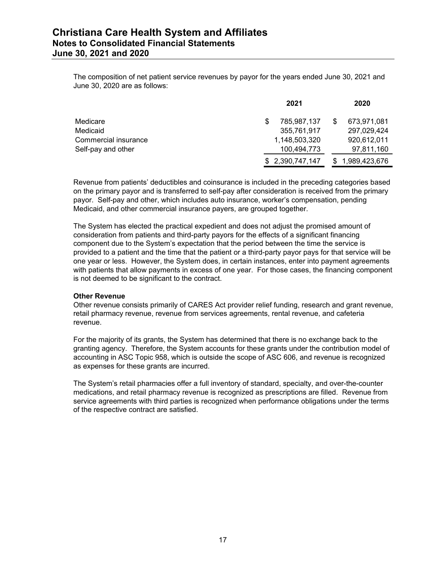The composition of net patient service revenues by payor for the years ended June 30, 2021 and June 30, 2020 are as follows:

|                      |   | 2021            | 2020          |
|----------------------|---|-----------------|---------------|
| Medicare             | S | 785.987.137     | 673,971,081   |
| Medicaid             |   | 355,761,917     | 297,029,424   |
| Commercial insurance |   | 1,148,503,320   | 920,612,011   |
| Self-pay and other   |   | 100,494,773     | 97,811,160    |
|                      |   | \$2,390,747,147 | 1,989,423,676 |

Revenue from patients' deductibles and coinsurance is included in the preceding categories based on the primary payor and is transferred to self-pay after consideration is received from the primary payor. Self-pay and other, which includes auto insurance, worker's compensation, pending Medicaid, and other commercial insurance payers, are grouped together.

The System has elected the practical expedient and does not adjust the promised amount of consideration from patients and third-party payors for the effects of a significant financing component due to the System's expectation that the period between the time the service is provided to a patient and the time that the patient or a third-party payor pays for that service will be one year or less. However, the System does, in certain instances, enter into payment agreements with patients that allow payments in excess of one year. For those cases, the financing component is not deemed to be significant to the contract.

## **Other Revenue**

Other revenue consists primarily of CARES Act provider relief funding, research and grant revenue, retail pharmacy revenue, revenue from services agreements, rental revenue, and cafeteria revenue.

For the majority of its grants, the System has determined that there is no exchange back to the granting agency. Therefore, the System accounts for these grants under the contribution model of accounting in ASC Topic 958, which is outside the scope of ASC 606, and revenue is recognized as expenses for these grants are incurred.

The System's retail pharmacies offer a full inventory of standard, specialty, and over-the-counter medications, and retail pharmacy revenue is recognized as prescriptions are filled. Revenue from service agreements with third parties is recognized when performance obligations under the terms of the respective contract are satisfied.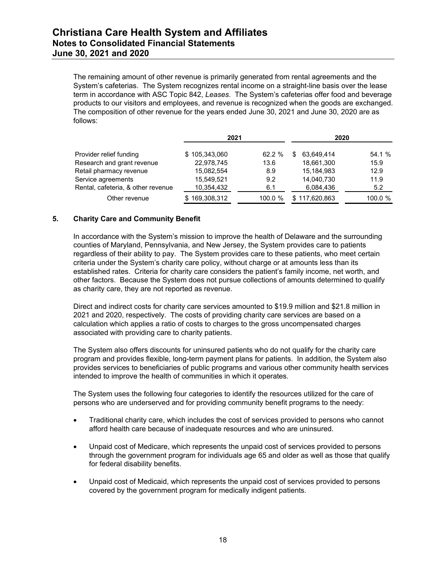The remaining amount of other revenue is primarily generated from rental agreements and the System's cafeterias. The System recognizes rental income on a straight-line basis over the lease term in accordance with ASC Topic 842, *Leases*. The System's cafeterias offer food and beverage products to our visitors and employees, and revenue is recognized when the goods are exchanged. The composition of other revenue for the years ended June 30, 2021 and June 30, 2020 are as follows:

|                                    | 2021          |            |   | 2020          |         |
|------------------------------------|---------------|------------|---|---------------|---------|
| Provider relief funding            | \$105,343,060 | 62.2%      | S | 63.649.414    | 54.1 %  |
| Research and grant revenue         | 22,978,745    | 13.6       |   | 18.661.300    | 15.9    |
| Retail pharmacy revenue            | 15,082,554    | 8.9        |   | 15,184,983    | 12.9    |
| Service agreements                 | 15.549.521    | 9.2        |   | 14,040,730    | 11.9    |
| Rental, cafeteria, & other revenue | 10,354,432    | 6.1        |   | 6,084,436     | 5.2     |
| Other revenue                      | 169,308,312   | $100.0 \%$ |   | \$117,620,863 | 100.0 % |

# **5. Charity Care and Community Benefit**

In accordance with the System's mission to improve the health of Delaware and the surrounding counties of Maryland, Pennsylvania, and New Jersey, the System provides care to patients regardless of their ability to pay. The System provides care to these patients, who meet certain criteria under the System's charity care policy, without charge or at amounts less than its established rates. Criteria for charity care considers the patient's family income, net worth, and other factors. Because the System does not pursue collections of amounts determined to qualify as charity care, they are not reported as revenue.

Direct and indirect costs for charity care services amounted to \$19.9 million and \$21.8 million in 2021 and 2020, respectively. The costs of providing charity care services are based on a calculation which applies a ratio of costs to charges to the gross uncompensated charges associated with providing care to charity patients.

The System also offers discounts for uninsured patients who do not qualify for the charity care program and provides flexible, long-term payment plans for patients. In addition, the System also provides services to beneficiaries of public programs and various other community health services intended to improve the health of communities in which it operates.

The System uses the following four categories to identify the resources utilized for the care of persons who are underserved and for providing community benefit programs to the needy:

- Traditional charity care, which includes the cost of services provided to persons who cannot afford health care because of inadequate resources and who are uninsured.
- Unpaid cost of Medicare, which represents the unpaid cost of services provided to persons through the government program for individuals age 65 and older as well as those that qualify for federal disability benefits.
- Unpaid cost of Medicaid, which represents the unpaid cost of services provided to persons covered by the government program for medically indigent patients.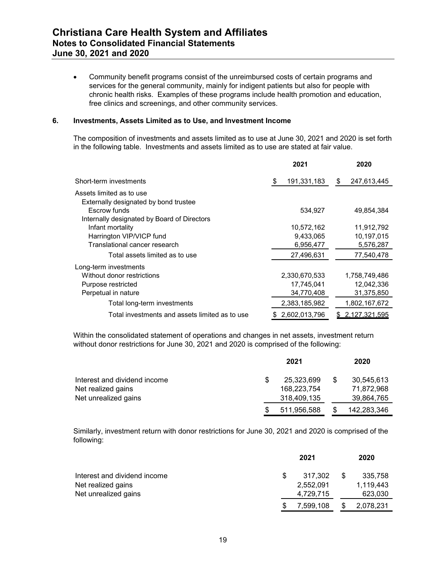Community benefit programs consist of the unreimbursed costs of certain programs and services for the general community, mainly for indigent patients but also for people with chronic health risks. Examples of these programs include health promotion and education, free clinics and screenings, and other community services.

# **6. Investments, Assets Limited as to Use, and Investment Income**

The composition of investments and assets limited as to use at June 30, 2021 and 2020 is set forth in the following table. Investments and assets limited as to use are stated at fair value.

|                                                                   | 2021                | 2020              |
|-------------------------------------------------------------------|---------------------|-------------------|
| Short-term investments                                            | 191,331,183<br>S    | 247,613,445<br>\$ |
| Assets limited as to use<br>Externally designated by bond trustee |                     |                   |
| Escrow funds                                                      | 534.927             | 49.854.384        |
| Internally designated by Board of Directors<br>Infant mortality   | 10,572,162          | 11,912,792        |
| Harrington VIP/VICP fund                                          | 9,433,065           | 10,197,015        |
| Translational cancer research                                     | 6,956,477           | 5,576,287         |
| Total assets limited as to use                                    | 27,496,631          | 77,540,478        |
| Long-term investments                                             |                     |                   |
| Without donor restrictions                                        | 2,330,670,533       | 1,758,749,486     |
| Purpose restricted                                                | 17,745,041          | 12,042,336        |
| Perpetual in nature                                               | 34,770,408          | 31,375,850        |
| Total long-term investments                                       | 2,383,185,982       | 1,802,167,672     |
| Total investments and assets limited as to use                    | 2,602,013,796<br>S. | 2,127,321,595     |

Within the consolidated statement of operations and changes in net assets, investment return without donor restrictions for June 30, 2021 and 2020 is comprised of the following:

|                              | 2021        | 2020        |
|------------------------------|-------------|-------------|
| Interest and dividend income | 25,323,699  | 30,545,613  |
| Net realized gains           | 168.223.754 | 71.872.968  |
| Net unrealized gains         | 318,409,135 | 39,864,765  |
|                              | 511,956,588 | 142,283,346 |

Similarly, investment return with donor restrictions for June 30, 2021 and 2020 is comprised of the following:

|                              | 2021      |     | 2020      |
|------------------------------|-----------|-----|-----------|
| Interest and dividend income | 317.302   | \$. | 335,758   |
| Net realized gains           | 2.552.091 |     | 1,119,443 |
| Net unrealized gains         | 4,729,715 |     | 623,030   |
|                              | 7,599,108 |     | 2,078,231 |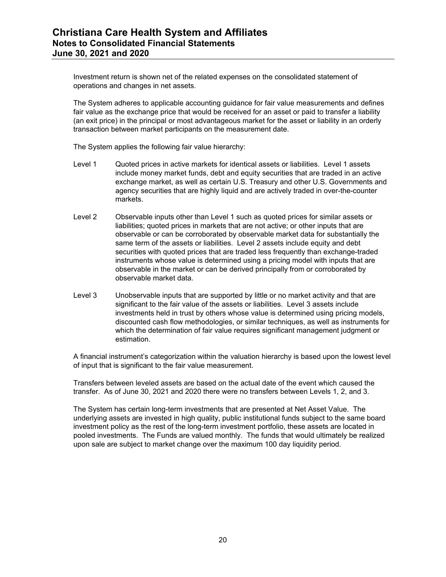Investment return is shown net of the related expenses on the consolidated statement of operations and changes in net assets.

The System adheres to applicable accounting guidance for fair value measurements and defines fair value as the exchange price that would be received for an asset or paid to transfer a liability (an exit price) in the principal or most advantageous market for the asset or liability in an orderly transaction between market participants on the measurement date.

The System applies the following fair value hierarchy:

- Level 1 Quoted prices in active markets for identical assets or liabilities. Level 1 assets include money market funds, debt and equity securities that are traded in an active exchange market, as well as certain U.S. Treasury and other U.S. Governments and agency securities that are highly liquid and are actively traded in over-the-counter markets.
- Level 2 Observable inputs other than Level 1 such as quoted prices for similar assets or liabilities; quoted prices in markets that are not active; or other inputs that are observable or can be corroborated by observable market data for substantially the same term of the assets or liabilities. Level 2 assets include equity and debt securities with quoted prices that are traded less frequently than exchange-traded instruments whose value is determined using a pricing model with inputs that are observable in the market or can be derived principally from or corroborated by observable market data.
- Level 3 Unobservable inputs that are supported by little or no market activity and that are significant to the fair value of the assets or liabilities. Level 3 assets include investments held in trust by others whose value is determined using pricing models, discounted cash flow methodologies, or similar techniques, as well as instruments for which the determination of fair value requires significant management judgment or estimation.

A financial instrument's categorization within the valuation hierarchy is based upon the lowest level of input that is significant to the fair value measurement.

Transfers between leveled assets are based on the actual date of the event which caused the transfer. As of June 30, 2021 and 2020 there were no transfers between Levels 1, 2, and 3.

The System has certain long-term investments that are presented at Net Asset Value. The underlying assets are invested in high quality, public institutional funds subject to the same board investment policy as the rest of the long-term investment portfolio, these assets are located in pooled investments. The Funds are valued monthly. The funds that would ultimately be realized upon sale are subject to market change over the maximum 100 day liquidity period.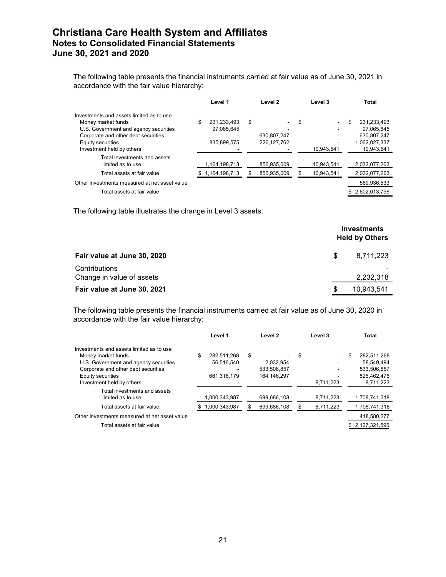The following table presents the financial instruments carried at fair value as of June 30, 2021 in accordance with the fair value hierarchy:

|                                               | Level 1           |   | Level 2     | Level 3    | Total             |
|-----------------------------------------------|-------------------|---|-------------|------------|-------------------|
| Investments and assets limited as to use      |                   |   |             |            |                   |
| Money market funds                            | \$<br>231.233.493 | S |             | \$         | \$<br>231,233,493 |
| U.S. Government and agency securities         | 97.065.645        |   |             | -          | 97,065,645        |
| Corporate and other debt securities           |                   |   | 630,807,247 |            | 630,807,247       |
| Equity securities                             | 835.899.575       |   | 226.127.762 |            | 1,062,027,337     |
| Investment held by others                     |                   |   |             | 10,943,541 | 10,943,541        |
| Total investments and assets                  |                   |   |             |            |                   |
| limited as to use                             | 1,164,198,713     |   | 856.935.009 | 10.943.541 | 2,032,077,263     |
| Total assets at fair value                    | 1,164,198,713     |   | 856.935.009 | 10.943.541 | 2,032,077,263     |
| Other investments measured at net asset value |                   |   |             |            | 569,936,533       |
| Total assets at fair value                    |                   |   |             |            | \$2.602.013.796   |

The following table illustrates the change in Level 3 assets:

|                                            | <b>Investments</b><br><b>Held by Others</b> |            |  |
|--------------------------------------------|---------------------------------------------|------------|--|
| Fair value at June 30, 2020                | \$.                                         | 8,711,223  |  |
| Contributions<br>Change in value of assets |                                             | 2,232,318  |  |
| Fair value at June 30, 2021                | S.                                          | 10,943,541 |  |

The following table presents the financial instruments carried at fair value as of June 30, 2020 in accordance with the fair value hierarchy:

|                                               |    | Level 1       | Level <sub>2</sub> | Level 3   |   | Total            |
|-----------------------------------------------|----|---------------|--------------------|-----------|---|------------------|
| Investments and assets limited as to use      |    |               |                    |           |   |                  |
| Money market funds                            | \$ | 282.511.268   | \$                 | \$        | S | 282.511.268      |
| U.S. Government and agency securities         |    | 56,516,540    | 2.032.954          |           |   | 58,549,494       |
| Corporate and other debt securities           |    |               | 533.506.857        |           |   | 533.506.857      |
| Equity securities                             |    | 661,316,179   | 164,146,297        |           |   | 825,462,476      |
| Investment held by others                     |    |               |                    | 8,711,223 |   | 8,711,223        |
| Total investments and assets                  |    |               |                    |           |   |                  |
| limited as to use                             |    | 1,000,343,987 | 699.686.108        | 8,711,223 |   | 1,708,741,318    |
| Total assets at fair value                    | S  | 1,000,343,987 | 699,686,108        | 8.711.223 |   | 1,708,741,318    |
| Other investments measured at net asset value |    |               |                    |           |   | 418,580,277      |
| Total assets at fair value                    |    |               |                    |           |   | \$ 2,127,321,595 |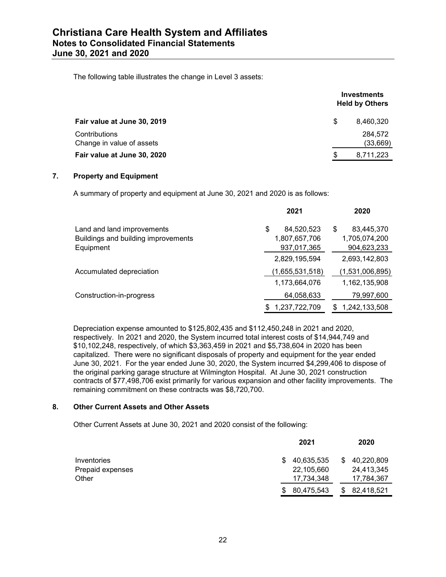The following table illustrates the change in Level 3 assets:

|                             | <b>Investments</b><br><b>Held by Others</b> |           |  |  |  |
|-----------------------------|---------------------------------------------|-----------|--|--|--|
| Fair value at June 30, 2019 | \$                                          | 8.460.320 |  |  |  |
| Contributions               |                                             | 284.572   |  |  |  |
| Change in value of assets   |                                             | (33,669)  |  |  |  |
| Fair value at June 30, 2020 | \$                                          | 8,711,223 |  |  |  |

# **7. Property and Equipment**

A summary of property and equipment at June 30, 2021 and 2020 is as follows:

|                                     | 2021             | 2020            |
|-------------------------------------|------------------|-----------------|
| Land and land improvements          | 84,520,523<br>\$ | 83,445,370<br>S |
| Buildings and building improvements | 1,807,657,706    | 1,705,074,200   |
| Equipment                           | 937,017,365      | 904,623,233     |
|                                     | 2,829,195,594    | 2,693,142,803   |
| Accumulated depreciation            | (1,655,531,518)  | (1,531,006,895) |
|                                     | 1,173,664,076    | 1,162,135,908   |
| Construction-in-progress            | 64,058,633       | 79,997,600      |
|                                     | 1,237,722,709    | 1,242,133,508   |

Depreciation expense amounted to \$125,802,435 and \$112,450,248 in 2021 and 2020, respectively. In 2021 and 2020, the System incurred total interest costs of \$14,944,749 and \$10,102,248, respectively, of which \$3,363,459 in 2021 and \$5,738,604 in 2020 has been capitalized. There were no significant disposals of property and equipment for the year ended June 30, 2021. For the year ended June 30, 2020, the System incurred \$4,299,406 to dispose of the original parking garage structure at Wilmington Hospital. At June 30, 2021 construction contracts of \$77,498,706 exist primarily for various expansion and other facility improvements. The remaining commitment on these contracts was \$8,720,700.

# **8. Other Current Assets and Other Assets**

Other Current Assets at June 30, 2021 and 2020 consist of the following:

|                  |   | 2021       |   | 2020       |
|------------------|---|------------|---|------------|
| Inventories      | S | 40,635,535 | S | 40.220.809 |
| Prepaid expenses |   | 22,105,660 |   | 24,413,345 |
| Other            |   | 17,734,348 |   | 17,784,367 |
|                  |   | 80,475,543 | S | 82,418,521 |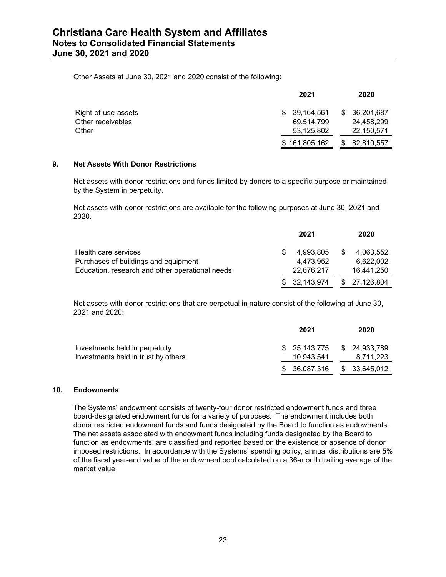Other Assets at June 30, 2021 and 2020 consist of the following:

|                     | 2021              | 2020              |
|---------------------|-------------------|-------------------|
| Right-of-use-assets | 39,164,561<br>\$. | \$ 36,201,687     |
| Other receivables   | 69.514.799        | 24,458,299        |
| Other               | 53,125,802        | 22,150,571        |
|                     | \$161,805,162     | 82,810,557<br>SS. |

# **9. Net Assets With Donor Restrictions**

Net assets with donor restrictions and funds limited by donors to a specific purpose or maintained by the System in perpetuity.

Net assets with donor restrictions are available for the following purposes at June 30, 2021 and 2020.

|                                                 | 2021         | 2020         |
|-------------------------------------------------|--------------|--------------|
| Health care services                            | 4.993.805    | 4,063,552    |
| Purchases of buildings and equipment            | 4.473.952    | 6,622,002    |
| Education, research and other operational needs | 22,676,217   | 16,441,250   |
|                                                 | \$32,143,974 | \$27,126,804 |

Net assets with donor restrictions that are perpetual in nature consist of the following at June 30, 2021 and 2020:

|                                                                       | 2021                                      | 2020         |
|-----------------------------------------------------------------------|-------------------------------------------|--------------|
| Investments held in perpetuity<br>Investments held in trust by others | $$25,143,775$ $$24,933,789$<br>10.943.541 | 8,711,223    |
|                                                                       | \$ 36,087,316                             | \$33,645,012 |

# **10. Endowments**

The Systems' endowment consists of twenty-four donor restricted endowment funds and three board-designated endowment funds for a variety of purposes. The endowment includes both donor restricted endowment funds and funds designated by the Board to function as endowments. The net assets associated with endowment funds including funds designated by the Board to function as endowments, are classified and reported based on the existence or absence of donor imposed restrictions. In accordance with the Systems' spending policy, annual distributions are 5% of the fiscal year-end value of the endowment pool calculated on a 36-month trailing average of the market value.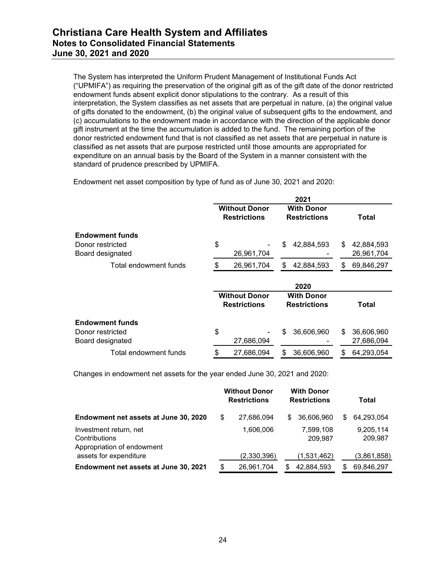The System has interpreted the Uniform Prudent Management of Institutional Funds Act ("UPMIFA") as requiring the preservation of the original gift as of the gift date of the donor restricted endowment funds absent explicit donor stipulations to the contrary. As a result of this interpretation, the System classifies as net assets that are perpetual in nature, (a) the original value of gifts donated to the endowment, (b) the original value of subsequent gifts to the endowment, and (c) accumulations to the endowment made in accordance with the direction of the applicable donor gift instrument at the time the accumulation is added to the fund. The remaining portion of the donor restricted endowment fund that is not classified as net assets that are perpetual in nature is classified as net assets that are purpose restricted until those amounts are appropriated for expenditure on an annual basis by the Board of the System in a manner consistent with the standard of prudence prescribed by UPMIFA.

Endowment net asset composition by type of fund as of June 30, 2021 and 2020:

|                        |                                             |                                             |    | 2021                                     |       |            |
|------------------------|---------------------------------------------|---------------------------------------------|----|------------------------------------------|-------|------------|
|                        |                                             | <b>Without Donor</b><br><b>Restrictions</b> |    | <b>With Donor</b><br><b>Restrictions</b> |       | Total      |
| <b>Endowment funds</b> |                                             |                                             |    |                                          |       |            |
| Donor restricted       | \$                                          |                                             | \$ | 42,884,593                               | \$    | 42,884,593 |
| Board designated       |                                             | 26,961,704                                  |    |                                          |       | 26,961,704 |
| Total endowment funds  | S                                           | 26,961,704                                  | \$ | 42,884,593                               | \$    | 69,846,297 |
|                        |                                             |                                             |    | 2020                                     |       |            |
|                        | <b>Without Donor</b><br><b>Restrictions</b> |                                             |    | <b>With Donor</b><br><b>Restrictions</b> | Total |            |
| <b>Endowment funds</b> |                                             |                                             |    |                                          |       |            |
| Donor restricted       | \$                                          |                                             | \$ | 36,606,960                               | S     | 36,606,960 |
| Board designated       |                                             | 27,686,094                                  |    |                                          |       | 27,686,094 |
| Total endowment funds  | \$                                          | 27,686,094                                  | S  | 36,606,960                               | S     | 64,293,054 |

Changes in endowment net assets for the year ended June 30, 2021 and 2020:

|                                                                       |     | <b>Without Donor</b><br><b>Restrictions</b> |    | <b>With Donor</b><br><b>Restrictions</b> | Total |                      |  |
|-----------------------------------------------------------------------|-----|---------------------------------------------|----|------------------------------------------|-------|----------------------|--|
| Endowment net assets at June 30, 2020                                 | \$  | 27,686,094                                  | S. | 36,606,960                               | S     | 64,293,054           |  |
| Investment return, net<br>Contributions<br>Appropriation of endowment |     | 1.606.006                                   |    | 7,599,108<br>209.987                     |       | 9.205.114<br>209,987 |  |
| assets for expenditure                                                |     | (2,330,396)                                 |    | (1,531,462)                              |       | (3,861,858)          |  |
| Endowment net assets at June 30, 2021                                 | \$. | 26,961,704                                  | \$ | 42,884,593                               |       | 69,846,297           |  |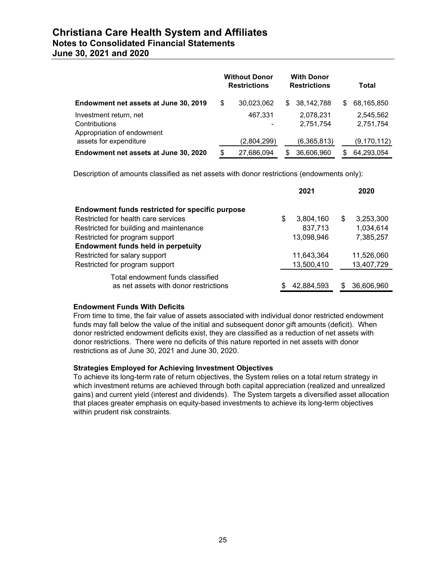# **Christiana Care Health System and Affiliates Notes to Consolidated Financial Statements June 30, 2021 and 2020**

|                                                                       |    | <b>Without Donor</b><br><b>Restrictions</b> | <b>With Donor</b><br><b>Restrictions</b> |                        |   | Total                  |
|-----------------------------------------------------------------------|----|---------------------------------------------|------------------------------------------|------------------------|---|------------------------|
| Endowment net assets at June 30, 2019                                 | \$ | 30,023,062                                  | S.                                       | 38,142,788             | S | 68,165,850             |
| Investment return, net<br>Contributions<br>Appropriation of endowment |    | 467,331                                     |                                          | 2,078,231<br>2,751,754 |   | 2,545,562<br>2,751,754 |
| assets for expenditure                                                |    | (2,804,299)                                 |                                          | (6,365,813)            |   | (9, 170, 112)          |
| Endowment net assets at June 30, 2020                                 | S  | 27,686,094                                  | S                                        | 36,606,960             |   | 64,293,054             |

Description of amounts classified as net assets with donor restrictions (endowments only):

|                                                        |   | 2021       |   | 2020       |
|--------------------------------------------------------|---|------------|---|------------|
| <b>Endowment funds restricted for specific purpose</b> |   |            |   |            |
| Restricted for health care services                    | S | 3,804,160  | S | 3,253,300  |
| Restricted for building and maintenance                |   | 837,713    |   | 1,034,614  |
| Restricted for program support                         |   | 13,098,946 |   | 7,385,257  |
| <b>Endowment funds held in perpetuity</b>              |   |            |   |            |
| Restricted for salary support                          |   | 11,643,364 |   | 11,526,060 |
| Restricted for program support                         |   | 13,500,410 |   | 13,407,729 |
| Total endowment funds classified                       |   |            |   |            |
| as net assets with donor restrictions                  |   | 42,884,593 |   | 36,606,960 |

# **Endowment Funds With Deficits**

From time to time, the fair value of assets associated with individual donor restricted endowment funds may fall below the value of the initial and subsequent donor gift amounts (deficit). When donor restricted endowment deficits exist, they are classified as a reduction of net assets with donor restrictions. There were no deficits of this nature reported in net assets with donor restrictions as of June 30, 2021 and June 30, 2020.

# **Strategies Employed for Achieving Investment Objectives**

To achieve its long-term rate of return objectives, the System relies on a total return strategy in which investment returns are achieved through both capital appreciation (realized and unrealized gains) and current yield (interest and dividends). The System targets a diversified asset allocation that places greater emphasis on equity-based investments to achieve its long-term objectives within prudent risk constraints.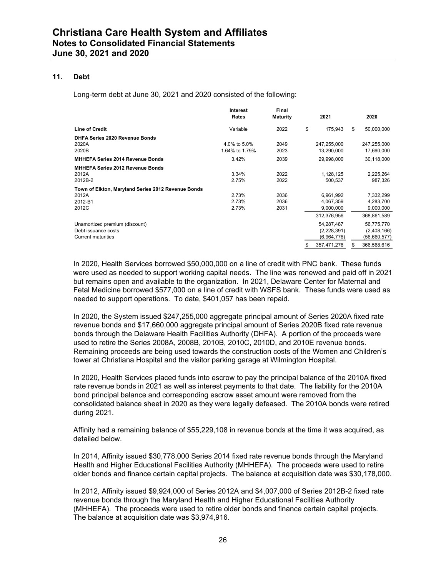# **11. Debt**

Long-term debt at June 30, 2021 and 2020 consisted of the following:

|                                                    | Interest<br>Rates | <b>Final</b><br><b>Maturity</b> |    | 2021        | 2020              |
|----------------------------------------------------|-------------------|---------------------------------|----|-------------|-------------------|
| <b>Line of Credit</b>                              | Variable          | 2022                            | \$ | 175,943     | \$<br>50,000,000  |
| DHFA Series 2020 Revenue Bonds                     |                   |                                 |    |             |                   |
| 2020A                                              | 4.0% to 5.0%      | 2049                            |    | 247,255,000 | 247,255,000       |
| 2020B                                              | 1.64% to 1.79%    | 2023                            |    | 13,290,000  | 17,660,000        |
| <b>MHHEFA Series 2014 Revenue Bonds</b>            | 3.42%             | 2039                            |    | 29,998,000  | 30,118,000        |
| <b>MHHEFA Series 2012 Revenue Bonds</b>            |                   |                                 |    |             |                   |
| 2012A                                              | 3.34%             | 2022                            |    | 1,128,125   | 2,225,264         |
| 2012B-2                                            | 2.75%             | 2022                            |    | 500,537     | 987,326           |
| Town of Elkton, Maryland Series 2012 Revenue Bonds |                   |                                 |    |             |                   |
| 2012A                                              | 2.73%             | 2036                            |    | 6,961,992   | 7,332,299         |
| 2012-B1                                            | 2.73%             | 2036                            |    | 4,067,359   | 4,283,700         |
| 2012C                                              | 2.73%             | 2031                            |    | 9,000,000   | 9,000,000         |
|                                                    |                   |                                 |    | 312,376,956 | 368,861,589       |
| Unamortized premium (discount)                     |                   |                                 |    | 54,287,487  | 56,775,770        |
| Debt issuance costs                                |                   |                                 |    | (2,228,391) | (2,408,166)       |
| <b>Current maturities</b>                          |                   |                                 |    | (6,964,776) | (56,660,577)      |
|                                                    |                   |                                 | S  | 357,471,276 | \$<br>366,568,616 |

In 2020, Health Services borrowed \$50,000,000 on a line of credit with PNC bank. These funds were used as needed to support working capital needs. The line was renewed and paid off in 2021 but remains open and available to the organization. In 2021, Delaware Center for Maternal and Fetal Medicine borrowed \$577,000 on a line of credit with WSFS bank. These funds were used as needed to support operations. To date, \$401,057 has been repaid.

In 2020, the System issued \$247,255,000 aggregate principal amount of Series 2020A fixed rate revenue bonds and \$17,660,000 aggregate principal amount of Series 2020B fixed rate revenue bonds through the Delaware Health Facilities Authority (DHFA). A portion of the proceeds were used to retire the Series 2008A, 2008B, 2010B, 2010C, 2010D, and 2010E revenue bonds. Remaining proceeds are being used towards the construction costs of the Women and Children's tower at Christiana Hospital and the visitor parking garage at Wilmington Hospital.

In 2020, Health Services placed funds into escrow to pay the principal balance of the 2010A fixed rate revenue bonds in 2021 as well as interest payments to that date. The liability for the 2010A bond principal balance and corresponding escrow asset amount were removed from the consolidated balance sheet in 2020 as they were legally defeased. The 2010A bonds were retired during 2021.

Affinity had a remaining balance of \$55,229,108 in revenue bonds at the time it was acquired, as detailed below.

In 2014, Affinity issued \$30,778,000 Series 2014 fixed rate revenue bonds through the Maryland Health and Higher Educational Facilities Authority (MHHEFA). The proceeds were used to retire older bonds and finance certain capital projects. The balance at acquisition date was \$30,178,000.

In 2012, Affinity issued \$9,924,000 of Series 2012A and \$4,007,000 of Series 2012B-2 fixed rate revenue bonds through the Maryland Health and Higher Educational Facilities Authority (MHHEFA). The proceeds were used to retire older bonds and finance certain capital projects. The balance at acquisition date was \$3,974,916.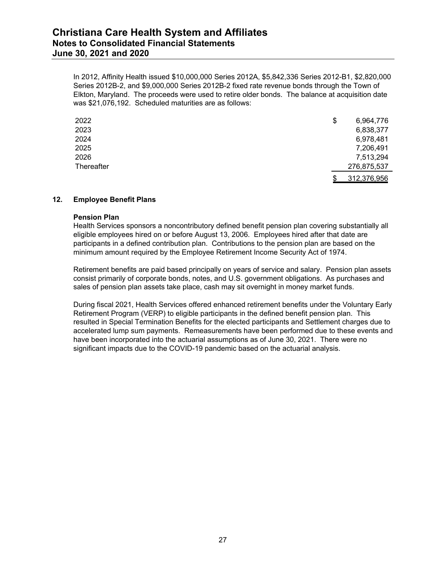In 2012, Affinity Health issued \$10,000,000 Series 2012A, \$5,842,336 Series 2012-B1, \$2,820,000 Series 2012B-2, and \$9,000,000 Series 2012B-2 fixed rate revenue bonds through the Town of Elkton, Maryland. The proceeds were used to retire older bonds. The balance at acquisition date was \$21,076,192. Scheduled maturities are as follows:

| 2022       | \$<br>6,964,776 |
|------------|-----------------|
| 2023       | 6,838,377       |
| 2024       | 6,978,481       |
| 2025       | 7,206,491       |
| 2026       | 7,513,294       |
| Thereafter | 276,875,537     |
|            | 312,376,956     |

#### **12. Employee Benefit Plans**

#### **Pension Plan**

Health Services sponsors a noncontributory defined benefit pension plan covering substantially all eligible employees hired on or before August 13, 2006. Employees hired after that date are participants in a defined contribution plan. Contributions to the pension plan are based on the minimum amount required by the Employee Retirement Income Security Act of 1974.

Retirement benefits are paid based principally on years of service and salary. Pension plan assets consist primarily of corporate bonds, notes, and U.S. government obligations. As purchases and sales of pension plan assets take place, cash may sit overnight in money market funds.

During fiscal 2021, Health Services offered enhanced retirement benefits under the Voluntary Early Retirement Program (VERP) to eligible participants in the defined benefit pension plan. This resulted in Special Termination Benefits for the elected participants and Settlement charges due to accelerated lump sum payments. Remeasurements have been performed due to these events and have been incorporated into the actuarial assumptions as of June 30, 2021. There were no significant impacts due to the COVID-19 pandemic based on the actuarial analysis.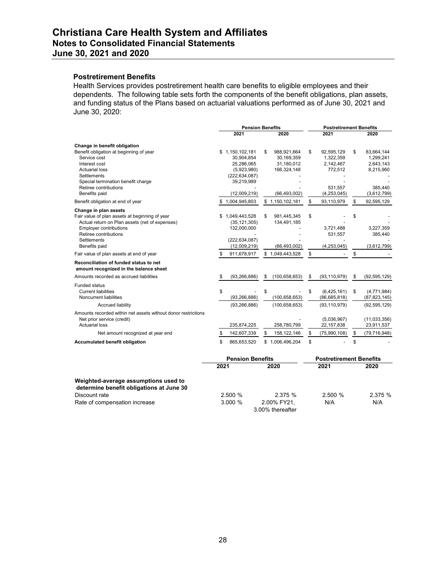# **Postretirement Benefits**

Health Services provides postretirement health care benefits to eligible employees and their dependents. The following table sets forth the components of the benefit obligations, plan assets, and funding status of the Plans based on actuarial valuations performed as of June 30, 2021 and June 30, 2020:

|                                                                                  | <b>Pension Benefits</b> |                         |    |                 | <b>Postretirement Benefits</b> |                                |    |                |
|----------------------------------------------------------------------------------|-------------------------|-------------------------|----|-----------------|--------------------------------|--------------------------------|----|----------------|
|                                                                                  |                         | 2021                    |    | 2020            |                                | 2021                           |    | 2020           |
| Change in benefit obligation                                                     |                         |                         |    |                 |                                |                                |    |                |
| Benefit obligation at beginning of year                                          |                         | \$1,150,102,181         | \$ | 988,921,664     | \$                             | 92,595,129                     | \$ | 83,664,144     |
| Service cost                                                                     |                         | 30,904,854              |    | 30,169,359      |                                | 1,322,359                      |    | 1,299,241      |
| Interest cost                                                                    |                         | 25,286,065              |    | 31,180,012      |                                | 2,142,467                      |    | 2,643,143      |
| <b>Actuarial loss</b>                                                            |                         | (5,923,980)             |    | 166,324,148     |                                | 772,512                        |    | 8,215,960      |
| Settlements                                                                      |                         | (222, 634, 087)         |    |                 |                                |                                |    |                |
| Special termination benefit charge                                               |                         | 39,219,989              |    |                 |                                |                                |    |                |
| Retiree contributions                                                            |                         |                         |    |                 |                                | 531,557                        |    | 385,440        |
| Benefits paid                                                                    |                         | (12,009,219)            |    | (66, 493, 002)  |                                | (4, 253, 045)                  |    | (3,612,799)    |
| Benefit obligation at end of year                                                |                         | \$1,004,945,803         |    | \$1,150,102,181 | \$                             | 93,110,979                     | \$ | 92,595,129     |
| Change in plan assets                                                            |                         |                         |    |                 |                                |                                |    |                |
| Fair value of plan assets at beginning of year                                   |                         | 1,049,443,528           | S  | 981,445,345     | \$                             |                                | \$ |                |
| Actual return on Plan assets (net of expenses)                                   |                         | (35, 121, 305)          |    | 134,491,185     |                                |                                |    |                |
| <b>Employer contributions</b>                                                    |                         | 132,000,000             |    |                 |                                | 3.721.488                      |    | 3,227,359      |
| Retiree contributions                                                            |                         |                         |    |                 |                                | 531,557                        |    | 385,440        |
| Settlements                                                                      |                         | (222, 634, 087)         |    |                 |                                |                                |    |                |
| Benefits paid                                                                    |                         | (12,009,219)            |    | (66, 493, 002)  |                                | (4, 253, 045)                  |    | (3,612,799)    |
| Fair value of plan assets at end of year                                         |                         | 911,678,917             |    | \$1,049,443,528 | \$                             |                                | \$ |                |
| Reconciliation of funded status to net<br>amount recognized in the balance sheet |                         |                         |    |                 |                                |                                |    |                |
| Amounts recorded as accrued liabilities                                          |                         | (93, 266, 886)          |    | (100, 658, 653) | \$                             | (93, 110, 979)                 | S  | (92, 595, 129) |
| <b>Funded status</b>                                                             |                         |                         |    |                 |                                |                                |    |                |
| <b>Current liabilities</b>                                                       | \$                      |                         |    |                 | \$                             | (6,425,161)                    | \$ | (4,771,984)    |
| Noncurrent liabilities                                                           |                         | (93, 266, 886)          |    | (100, 658, 653) |                                | (86, 685, 818)                 |    | (87, 823, 145) |
| <b>Accrued liability</b>                                                         |                         | (93, 266, 886)          |    | (100, 658, 653) |                                | (93, 110, 979)                 |    | (92, 595, 129) |
| Amounts recorded within net assets without donor restrictions                    |                         |                         |    |                 |                                |                                |    |                |
| Net prior service (credit)                                                       |                         |                         |    |                 |                                | (5,036,967)                    |    | (11,033,356)   |
| <b>Actuarial loss</b>                                                            |                         | 235,874,225             |    | 258,780,799     |                                | 22, 157, 838                   |    | 23,911,537     |
| Net amount recognized at year end                                                | \$                      | 142,607,339             | \$ | 158, 122, 146   | \$                             | (75,990,108)                   | \$ | (79, 716, 948) |
| <b>Accumulated benefit obligation</b>                                            | \$                      | 865,653,520             |    | \$1,006,496,204 | \$                             |                                | \$ |                |
|                                                                                  |                         | <b>Pension Benefits</b> |    |                 |                                | <b>Postretirement Benefits</b> |    |                |
|                                                                                  | 2021                    |                         |    | 2020            |                                | 2021                           |    | 2020           |
|                                                                                  |                         |                         |    |                 |                                |                                |    |                |

| Weighted-average assumptions used to     |           |                  |         |         |
|------------------------------------------|-----------|------------------|---------|---------|
| determine benefit obligations at June 30 |           |                  |         |         |
| Discount rate                            | 2.500%    | 2 375 %          | 2.500 % | 2.375 % |
| Rate of compensation increase            | $3.000\%$ | 2.00% FY21.      | N/A     | N/A     |
|                                          |           | 3.00% thereafter |         |         |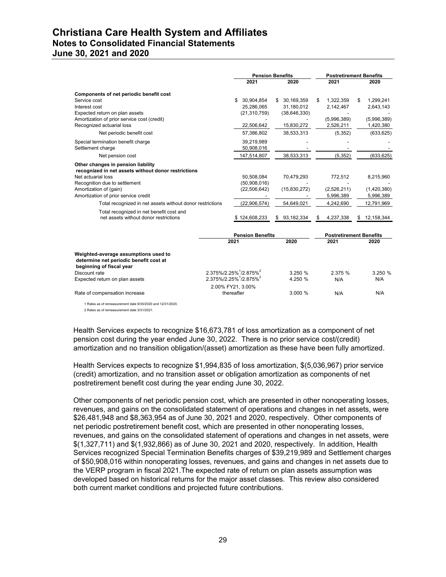# **Christiana Care Health System and Affiliates Notes to Consolidated Financial Statements June 30, 2021 and 2020**

|                                                                                                            |                                                | <b>Pension Benefits</b>  |                  |    | <b>Postretirement Benefits</b> |    |                          |  |
|------------------------------------------------------------------------------------------------------------|------------------------------------------------|--------------------------|------------------|----|--------------------------------|----|--------------------------|--|
|                                                                                                            |                                                | 2021                     | 2020             |    | 2021                           |    | 2020                     |  |
| Components of net periodic benefit cost                                                                    |                                                |                          |                  |    |                                |    |                          |  |
| Service cost                                                                                               | \$                                             | 30,904,854               | 30,169,359<br>\$ | \$ | 1,322,359                      | \$ | 1,299,241                |  |
| Interest cost                                                                                              |                                                | 25,286,065               | 31,180,012       |    | 2,142,467                      |    | 2,643,143                |  |
| Expected return on plan assets<br>Amortization of prior service cost (credit)                              |                                                | (21, 310, 759)           | (38, 646, 330)   |    | (5,996,389)                    |    | (5,996,389)              |  |
| Recognized actuarial loss                                                                                  |                                                | 22,506,642               | 15,830,272       |    | 2,526,211                      |    | 1,420,380                |  |
| Net periodic benefit cost                                                                                  |                                                | 57,386,802               | 38,533,313       |    | (5,352)                        |    | (633, 625)               |  |
|                                                                                                            |                                                |                          |                  |    |                                |    |                          |  |
| Special termination benefit charge<br>Settlement charge                                                    |                                                | 39,219,989<br>50,908,016 |                  |    |                                |    |                          |  |
| Net pension cost                                                                                           |                                                | 147,514,807              | 38,533,313       |    | (5,352)                        |    | (633, 625)               |  |
|                                                                                                            |                                                |                          |                  |    |                                |    |                          |  |
| Other changes in pension liability<br>recognized in net assets without donor restrictions                  |                                                |                          |                  |    |                                |    |                          |  |
| Net actuarial loss                                                                                         |                                                | 50,508,084               | 70,479,293       |    | 772,512                        |    | 8,215,960                |  |
| Recognition due to settlement                                                                              |                                                | (50,908,016)             |                  |    |                                |    |                          |  |
| Amortization of (gain)<br>Amortization of prior service credit                                             |                                                | (22, 506, 642)           | (15,830,272)     |    | (2,526,211)<br>5,996,389       |    | (1,420,380)<br>5,996,389 |  |
| Total recognized in net assets without donor restrictions                                                  |                                                | (22, 906, 574)           | 54,649,021       |    |                                |    |                          |  |
|                                                                                                            |                                                |                          |                  |    | 4,242,690                      |    | 12,791,969               |  |
| Total recognized in net benefit cost and<br>net assets without donor restrictions                          |                                                | \$124,608,233            | 93,182,334<br>\$ | \$ | 4,237,338                      | \$ | 12,158,344               |  |
|                                                                                                            |                                                |                          |                  |    |                                |    |                          |  |
|                                                                                                            |                                                | <b>Pension Benefits</b>  |                  |    | <b>Postretirement Benefits</b> |    |                          |  |
|                                                                                                            | 2021                                           |                          | 2020             |    | 2021                           |    | 2020                     |  |
| Weighted-average assumptions used to<br>determine net periodic benefit cost at<br>beginning of fiscal year |                                                |                          |                  |    |                                |    |                          |  |
| Discount rate                                                                                              | 2.375%/2.25% <sup>1</sup> /2.875% <sup>2</sup> |                          | 3.250%           |    | 2.375 %                        |    | 3.250 %                  |  |
| Expected return on plan assets                                                                             | 2.375%/2.25% <sup>1</sup> /2.875% <sup>2</sup> |                          | 4.250 %          |    | N/A                            |    | N/A                      |  |
|                                                                                                            | 2.00% FY21, 3.00%                              |                          |                  |    |                                |    |                          |  |
| Rate of compensation increase                                                                              | thereafter                                     |                          | 3.000 %          |    | N/A                            |    | N/A                      |  |

1 Rates as of remeasurement date 9/30/2020 and 12/31/2020.

2 Rates as of remeasurement date 3/31/2021.

Health Services expects to recognize \$16,673,781 of loss amortization as a component of net pension cost during the year ended June 30, 2022. There is no prior service cost/(credit) amortization and no transition obligation/(asset) amortization as these have been fully amortized.

Health Services expects to recognize \$1,994,835 of loss amortization, \$(5,036,967) prior service (credit) amortization, and no transition asset or obligation amortization as components of net postretirement benefit cost during the year ending June 30, 2022.

Other components of net periodic pension cost, which are presented in other nonoperating losses, revenues, and gains on the consolidated statement of operations and changes in net assets, were \$26,481,948 and \$8,363,954 as of June 30, 2021 and 2020, respectively. Other components of net periodic postretirement benefit cost, which are presented in other nonoperating losses, revenues, and gains on the consolidated statement of operations and changes in net assets, were \$(1,327,711) and \$(1,932,866) as of June 30, 2021 and 2020, respectively. In addition, Health Services recognized Special Termination Benefits charges of \$39,219,989 and Settlement charges of \$50,908,016 within nonoperating losses, revenues, and gains and changes in net assets due to the VERP program in fiscal 2021.The expected rate of return on plan assets assumption was developed based on historical returns for the major asset classes. This review also considered both current market conditions and projected future contributions.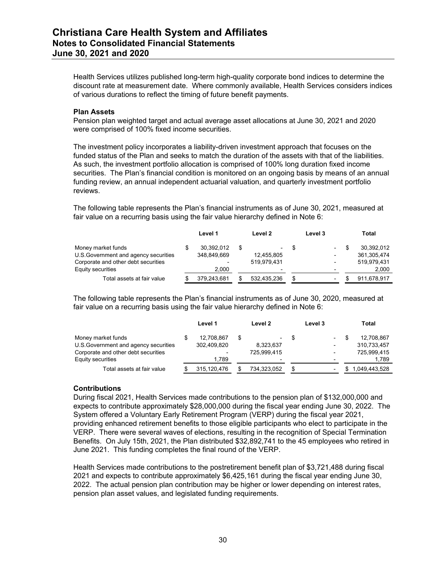Health Services utilizes published long-term high-quality corporate bond indices to determine the discount rate at measurement date. Where commonly available, Health Services considers indices of various durations to reflect the timing of future benefit payments.

## **Plan Assets**

Pension plan weighted target and actual average asset allocations at June 30, 2021 and 2020 were comprised of 100% fixed income securities.

The investment policy incorporates a liability-driven investment approach that focuses on the funded status of the Plan and seeks to match the duration of the assets with that of the liabilities. As such, the investment portfolio allocation is comprised of 100% long duration fixed income securities. The Plan's financial condition is monitored on an ongoing basis by means of an annual funding review, an annual independent actuarial valuation, and quarterly investment portfolio reviews.

The following table represents the Plan's financial instruments as of June 30, 2021, measured at fair value on a recurring basis using the fair value hierarchy defined in Note 6:

|                                       | Level 1     | Level 2                  |      | Level 3 |  | Total       |
|---------------------------------------|-------------|--------------------------|------|---------|--|-------------|
| Money market funds                    | 30,392,012  | $\sim 100$               | - \$ | ٠       |  | 30,392,012  |
| U.S. Government and agency securities | 348,849,669 | 12,455,805               |      |         |  | 361,305,474 |
| Corporate and other debt securities   | ۰           | 519.979.431              |      |         |  | 519,979,431 |
| Equity securities                     | 2,000       | $\overline{\phantom{0}}$ |      |         |  | 2,000       |
| Total assets at fair value            | 379,243,681 | 532,435,236              |      |         |  | 911,678,917 |

The following table represents the Plan's financial instruments as of June 30, 2020, measured at fair value on a recurring basis using the fair value hierarchy defined in Note 6:

|                                                                                                                         | Level 1                                 | Level 2                                                                  |     | Level 3                  | Total                                             |
|-------------------------------------------------------------------------------------------------------------------------|-----------------------------------------|--------------------------------------------------------------------------|-----|--------------------------|---------------------------------------------------|
| Money market funds<br>U.S. Government and agency securities<br>Corporate and other debt securities<br>Equity securities | 12,708,867<br>302,409,820<br>-<br>1.789 | $\sim$ 100 $\mu$<br>8,323,637<br>725,999,415<br>$\overline{\phantom{0}}$ | - 5 | ۰.                       | 12,708,867<br>310,733,457<br>725,999,415<br>1.789 |
| Total assets at fair value                                                                                              | 315,120,476                             | 734,323,052                                                              |     | $\overline{\phantom{a}}$ | \$1,049,443,528                                   |

# **Contributions**

During fiscal 2021, Health Services made contributions to the pension plan of \$132,000,000 and expects to contribute approximately \$28,000,000 during the fiscal year ending June 30, 2022. The System offered a Voluntary Early Retirement Program (VERP) during the fiscal year 2021, providing enhanced retirement benefits to those eligible participants who elect to participate in the VERP. There were several waves of elections, resulting in the recognition of Special Termination Benefits. On July 15th, 2021, the Plan distributed \$32,892,741 to the 45 employees who retired in June 2021. This funding completes the final round of the VERP.

Health Services made contributions to the postretirement benefit plan of \$3,721,488 during fiscal 2021 and expects to contribute approximately \$6,425,161 during the fiscal year ending June 30, 2022. The actual pension plan contribution may be higher or lower depending on interest rates, pension plan asset values, and legislated funding requirements.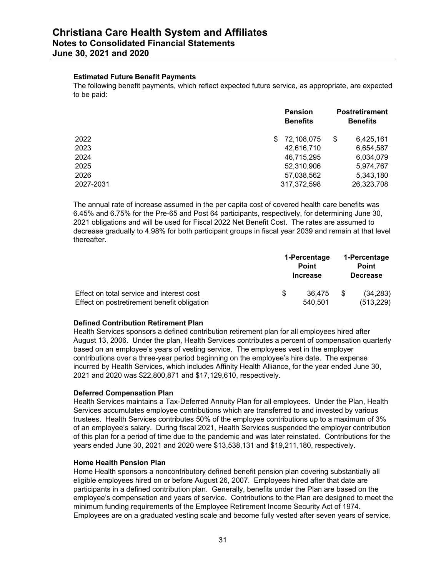#### **Estimated Future Benefit Payments**

The following benefit payments, which reflect expected future service, as appropriate, are expected to be paid:

|           |    | <b>Pension</b><br><b>Benefits</b> | <b>Postretirement</b><br><b>Benefits</b> |
|-----------|----|-----------------------------------|------------------------------------------|
| 2022      | S. | 72,108,075                        | \$<br>6,425,161                          |
| 2023      |    | 42,616,710                        | 6,654,587                                |
| 2024      |    | 46,715,295                        | 6,034,079                                |
| 2025      |    | 52,310,906                        | 5,974,767                                |
| 2026      |    | 57,038,562                        | 5,343,180                                |
| 2027-2031 |    | 317,372,598                       | 26,323,708                               |

The annual rate of increase assumed in the per capita cost of covered health care benefits was 6.45% and 6.75% for the Pre-65 and Post 64 participants, respectively, for determining June 30, 2021 obligations and will be used for Fiscal 2022 Net Benefit Cost. The rates are assumed to decrease gradually to 4.98% for both participant groups in fiscal year 2039 and remain at that level thereafter.

| Effect on total service and interest cost   | 1-Percentage<br><b>Point</b><br><b>Increase</b> |     | 1-Percentage<br><b>Point</b><br><b>Decrease</b> |
|---------------------------------------------|-------------------------------------------------|-----|-------------------------------------------------|
|                                             | 36.475                                          | -SS | (34, 283)                                       |
| Effect on postretirement benefit obligation | 540.501                                         |     | (513, 229)                                      |

## **Defined Contribution Retirement Plan**

Health Services sponsors a defined contribution retirement plan for all employees hired after August 13, 2006. Under the plan, Health Services contributes a percent of compensation quarterly based on an employee's years of vesting service. The employees vest in the employer contributions over a three-year period beginning on the employee's hire date. The expense incurred by Health Services, which includes Affinity Health Alliance, for the year ended June 30, 2021 and 2020 was \$22,800,871 and \$17,129,610, respectively.

## **Deferred Compensation Plan**

Health Services maintains a Tax-Deferred Annuity Plan for all employees. Under the Plan, Health Services accumulates employee contributions which are transferred to and invested by various trustees. Health Services contributes 50% of the employee contributions up to a maximum of 3% of an employee's salary. During fiscal 2021, Health Services suspended the employer contribution of this plan for a period of time due to the pandemic and was later reinstated. Contributions for the years ended June 30, 2021 and 2020 were \$13,538,131 and \$19,211,180, respectively.

## **Home Health Pension Plan**

Home Health sponsors a noncontributory defined benefit pension plan covering substantially all eligible employees hired on or before August 26, 2007. Employees hired after that date are participants in a defined contribution plan. Generally, benefits under the Plan are based on the employee's compensation and years of service. Contributions to the Plan are designed to meet the minimum funding requirements of the Employee Retirement Income Security Act of 1974. Employees are on a graduated vesting scale and become fully vested after seven years of service.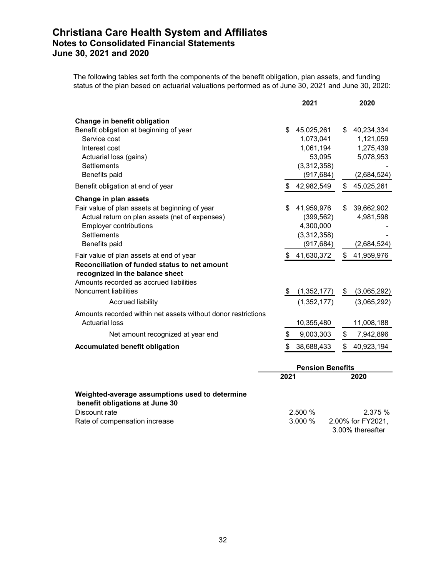The following tables set forth the components of the benefit obligation, plan assets, and funding status of the plan based on actuarial valuations performed as of June 30, 2021 and June 30, 2020:

|                                                               |      | 2021                    | 2020              |
|---------------------------------------------------------------|------|-------------------------|-------------------|
| Change in benefit obligation                                  |      |                         |                   |
| Benefit obligation at beginning of year                       | \$   | 45,025,261              | \$<br>40,234,334  |
| Service cost                                                  |      | 1,073,041               | 1,121,059         |
| Interest cost                                                 |      | 1,061,194               | 1,275,439         |
| Actuarial loss (gains)                                        |      | 53,095                  | 5,078,953         |
| <b>Settlements</b>                                            |      | (3,312,358)             |                   |
| Benefits paid                                                 |      | (917, 684)              | (2,684,524)       |
| Benefit obligation at end of year                             | \$   | 42,982,549              | \$<br>45,025,261  |
| Change in plan assets                                         |      |                         |                   |
| Fair value of plan assets at beginning of year                | \$   | 41,959,976              | \$<br>39,662,902  |
| Actual return on plan assets (net of expenses)                |      | (399, 562)              | 4,981,598         |
| <b>Employer contributions</b>                                 |      | 4,300,000               |                   |
| <b>Settlements</b>                                            |      | (3,312,358)             |                   |
| Benefits paid                                                 |      | (917, 684)              | (2,684,524)       |
| Fair value of plan assets at end of year                      | S.   | 41,630,372              | \$<br>41,959,976  |
| Reconciliation of funded status to net amount                 |      |                         |                   |
| recognized in the balance sheet                               |      |                         |                   |
| Amounts recorded as accrued liabilities                       |      |                         |                   |
| Noncurrent liabilities                                        | \$   | (1,352,177)             | \$<br>(3,065,292) |
| Accrued liability                                             |      | (1,352,177)             | (3,065,292)       |
| Amounts recorded within net assets without donor restrictions |      |                         |                   |
| <b>Actuarial loss</b>                                         |      | 10,355,480              | 11,008,188        |
| Net amount recognized at year end                             | \$   | 9,003,303               | \$<br>7,942,896   |
| <b>Accumulated benefit obligation</b>                         | \$   | 38,688,433              | \$<br>40,923,194  |
|                                                               |      |                         |                   |
|                                                               | 2021 | <b>Pension Benefits</b> | 2020              |
|                                                               |      |                         |                   |

| Weighted-average assumptions used to determine |  |
|------------------------------------------------|--|
| benefit obligations at June 30                 |  |

| Discount rate                 | 2.500%  | 2.375 %           |
|-------------------------------|---------|-------------------|
| Rate of compensation increase | 3.000 % | 2.00% for FY2021. |
|                               |         | 3.00% thereafter  |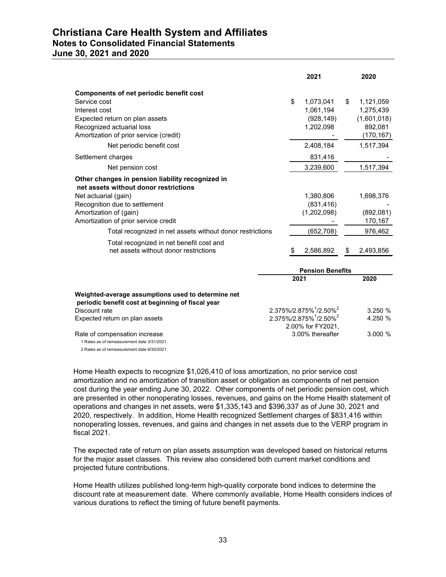# **Christiana Care Health System and Affiliates Notes to Consolidated Financial Statements June 30, 2021 and 2020**

|                                                                                                         |      | 2021                                                                | 2020            |
|---------------------------------------------------------------------------------------------------------|------|---------------------------------------------------------------------|-----------------|
| <b>Components of net periodic benefit cost</b>                                                          |      |                                                                     |                 |
| Service cost                                                                                            | \$   | 1,073,041                                                           | \$<br>1,121,059 |
| Interest cost                                                                                           |      | 1,061,194                                                           | 1,275,439       |
| Expected return on plan assets                                                                          |      | (928, 149)                                                          | (1,601,018)     |
| Recognized actuarial loss                                                                               |      | 1,202,098                                                           | 892,081         |
| Amortization of prior service (credit)                                                                  |      |                                                                     | (170, 167)      |
| Net periodic benefit cost                                                                               |      | 2,408,184                                                           | 1,517,394       |
| Settlement charges                                                                                      |      | 831,416                                                             |                 |
| Net pension cost                                                                                        |      | 3,239,600                                                           | 1,517,394       |
| Other changes in pension liability recognized in<br>net assets without donor restrictions               |      |                                                                     |                 |
| Net actuarial (gain)                                                                                    |      | 1,380,806                                                           | 1,698,376       |
| Recognition due to settlement                                                                           |      | (831, 416)                                                          |                 |
| Amortization of (gain)                                                                                  |      | (1,202,098)                                                         | (892,081)       |
| Amortization of prior service credit                                                                    |      |                                                                     | 170,167         |
| Total recognized in net assets without donor restrictions                                               |      | (652,708)                                                           | 976,462         |
| Total recognized in net benefit cost and                                                                |      |                                                                     |                 |
| net assets without donor restrictions                                                                   |      | 2,586,892                                                           | \$<br>2,493,856 |
|                                                                                                         |      | <b>Pension Benefits</b>                                             |                 |
|                                                                                                         | 2021 |                                                                     | 2020            |
| Weighted-average assumptions used to determine net<br>periodic benefit cost at beginning of fiscal year |      |                                                                     |                 |
| Discount rate                                                                                           |      | 2.375%/2.875% <sup>1</sup> /2.50% <sup>2</sup>                      | 3.250%          |
| Expected return on plan assets                                                                          |      | 2.375%/2.875% <sup>1</sup> /2.50% <sup>2</sup><br>2.00% for FY2021, | 4.250 %         |
| Rate of compensation increase<br>1 Rates as of remeasurement date 3/31/2021.                            |      | 3.00% thereafter                                                    | 3.000%          |
| 2 Rates as of remeasurement date 6/30/2021.                                                             |      |                                                                     |                 |

Home Health expects to recognize \$1,026,410 of loss amortization, no prior service cost amortization and no amortization of transition asset or obligation as components of net pension cost during the year ending June 30, 2022. Other components of net periodic pension cost, which are presented in other nonoperating losses, revenues, and gains on the Home Health statement of operations and changes in net assets, were \$1,335,143 and \$396,337 as of June 30, 2021 and 2020, respectively. In addition, Home Health recognized Settlement charges of \$831,416 within nonoperating losses, revenues, and gains and changes in net assets due to the VERP program in fiscal 2021.

The expected rate of return on plan assets assumption was developed based on historical returns for the major asset classes. This review also considered both current market conditions and projected future contributions.

Home Health utilizes published long-term high-quality corporate bond indices to determine the discount rate at measurement date. Where commonly available, Home Health considers indices of various durations to reflect the timing of future benefit payments.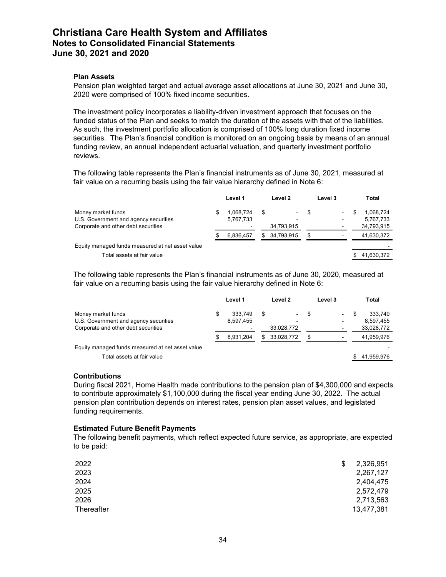#### **Plan Assets**

Pension plan weighted target and actual average asset allocations at June 30, 2021 and June 30, 2020 were comprised of 100% fixed income securities.

The investment policy incorporates a liability-driven investment approach that focuses on the funded status of the Plan and seeks to match the duration of the assets with that of the liabilities. As such, the investment portfolio allocation is comprised of 100% long duration fixed income securities. The Plan's financial condition is monitored on an ongoing basis by means of an annual funding review, an annual independent actuarial valuation, and quarterly investment portfolio reviews.

The following table represents the Plan's financial instruments as of June 30, 2021, measured at fair value on a recurring basis using the fair value hierarchy defined in Note 6:

|                                                  | Level 1   |    | Level 2                  |   | Level 3 |                          | Total      |
|--------------------------------------------------|-----------|----|--------------------------|---|---------|--------------------------|------------|
| Money market funds                               | 1.068.724 | S  | $\sim$                   | S |         | $\overline{\phantom{0}}$ | 1.068.724  |
| U.S. Government and agency securities            | 5,767,733 |    | $\overline{\phantom{0}}$ |   |         |                          | 5,767,733  |
| Corporate and other debt securities              |           |    | 34,793,915               |   |         |                          | 34,793,915 |
|                                                  | 6,836,457 | S. | 34.793.915               |   |         |                          | 41,630,372 |
| Equity managed funds measured at net asset value |           |    |                          |   |         |                          |            |
| Total assets at fair value                       |           |    |                          |   |         |                          | 41,630,372 |

The following table represents the Plan's financial instruments as of June 30, 2020, measured at fair value on a recurring basis using the fair value hierarchy defined in Note 6:

|                                                  |   | Level 1   |     | Level 2                  | Level 3 |        | Total      |
|--------------------------------------------------|---|-----------|-----|--------------------------|---------|--------|------------|
| Money market funds                               | S | 333.749   | \$. | $\sim$                   | \$      | $\sim$ | 333,749    |
| U.S. Government and agency securities            |   | 8,597,455 |     | $\overline{\phantom{a}}$ |         |        | 8,597,455  |
| Corporate and other debt securities              |   |           |     | 33,028,772               |         |        | 33,028,772 |
|                                                  |   | 8.931.204 | S   | 33.028.772               |         |        | 41.959.976 |
| Equity managed funds measured at net asset value |   |           |     |                          |         |        |            |
| Total assets at fair value                       |   |           |     |                          |         |        | 41,959,976 |

#### **Contributions**

During fiscal 2021, Home Health made contributions to the pension plan of \$4,300,000 and expects to contribute approximately \$1,100,000 during the fiscal year ending June 30, 2022. The actual pension plan contribution depends on interest rates, pension plan asset values, and legislated funding requirements.

## **Estimated Future Benefit Payments**

The following benefit payments, which reflect expected future service, as appropriate, are expected to be paid:

| 2022       | \$<br>2,326,951 |
|------------|-----------------|
| 2023       | 2,267,127       |
| 2024       | 2,404,475       |
| 2025       | 2,572,479       |
| 2026       | 2,713,563       |
| Thereafter | 13,477,381      |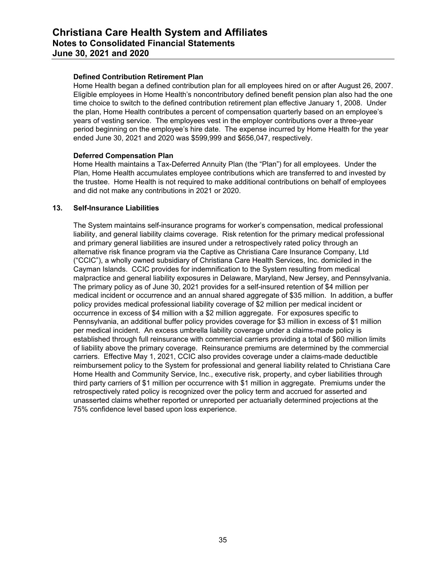# **Defined Contribution Retirement Plan**

Home Health began a defined contribution plan for all employees hired on or after August 26, 2007. Eligible employees in Home Health's noncontributory defined benefit pension plan also had the one time choice to switch to the defined contribution retirement plan effective January 1, 2008. Under the plan, Home Health contributes a percent of compensation quarterly based on an employee's years of vesting service. The employees vest in the employer contributions over a three-year period beginning on the employee's hire date. The expense incurred by Home Health for the year ended June 30, 2021 and 2020 was \$599,999 and \$656,047, respectively.

## **Deferred Compensation Plan**

Home Health maintains a Tax-Deferred Annuity Plan (the "Plan") for all employees. Under the Plan, Home Health accumulates employee contributions which are transferred to and invested by the trustee. Home Health is not required to make additional contributions on behalf of employees and did not make any contributions in 2021 or 2020.

## **13. Self-Insurance Liabilities**

The System maintains self-insurance programs for worker's compensation, medical professional liability, and general liability claims coverage. Risk retention for the primary medical professional and primary general liabilities are insured under a retrospectively rated policy through an alternative risk finance program via the Captive as Christiana Care Insurance Company, Ltd ("CCIC"), a wholly owned subsidiary of Christiana Care Health Services, Inc. domiciled in the Cayman Islands. CCIC provides for indemnification to the System resulting from medical malpractice and general liability exposures in Delaware, Maryland, New Jersey, and Pennsylvania. The primary policy as of June 30, 2021 provides for a self-insured retention of \$4 million per medical incident or occurrence and an annual shared aggregate of \$35 million. In addition, a buffer policy provides medical professional liability coverage of \$2 million per medical incident or occurrence in excess of \$4 million with a \$2 million aggregate. For exposures specific to Pennsylvania, an additional buffer policy provides coverage for \$3 million in excess of \$1 million per medical incident. An excess umbrella liability coverage under a claims-made policy is established through full reinsurance with commercial carriers providing a total of \$60 million limits of liability above the primary coverage. Reinsurance premiums are determined by the commercial carriers. Effective May 1, 2021, CCIC also provides coverage under a claims-made deductible reimbursement policy to the System for professional and general liability related to Christiana Care Home Health and Community Service, Inc., executive risk, property, and cyber liabilities through third party carriers of \$1 million per occurrence with \$1 million in aggregate. Premiums under the retrospectively rated policy is recognized over the policy term and accrued for asserted and unasserted claims whether reported or unreported per actuarially determined projections at the 75% confidence level based upon loss experience.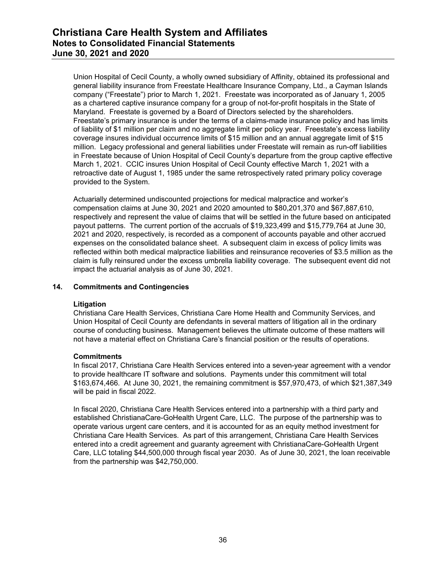Union Hospital of Cecil County, a wholly owned subsidiary of Affinity, obtained its professional and general liability insurance from Freestate Healthcare Insurance Company, Ltd., a Cayman Islands company ("Freestate") prior to March 1, 2021. Freestate was incorporated as of January 1, 2005 as a chartered captive insurance company for a group of not-for-profit hospitals in the State of Maryland. Freestate is governed by a Board of Directors selected by the shareholders. Freestate's primary insurance is under the terms of a claims-made insurance policy and has limits of liability of \$1 million per claim and no aggregate limit per policy year. Freestate's excess liability coverage insures individual occurrence limits of \$15 million and an annual aggregate limit of \$15 million. Legacy professional and general liabilities under Freestate will remain as run-off liabilities in Freestate because of Union Hospital of Cecil County's departure from the group captive effective March 1, 2021. CCIC insures Union Hospital of Cecil County effective March 1, 2021 with a retroactive date of August 1, 1985 under the same retrospectively rated primary policy coverage provided to the System.

Actuarially determined undiscounted projections for medical malpractice and worker's compensation claims at June 30, 2021 and 2020 amounted to \$80,201,370 and \$67,887,610, respectively and represent the value of claims that will be settled in the future based on anticipated payout patterns. The current portion of the accruals of \$19,323,499 and \$15,779,764 at June 30, 2021 and 2020, respectively, is recorded as a component of accounts payable and other accrued expenses on the consolidated balance sheet. A subsequent claim in excess of policy limits was reflected within both medical malpractice liabilities and reinsurance recoveries of \$3.5 million as the claim is fully reinsured under the excess umbrella liability coverage. The subsequent event did not impact the actuarial analysis as of June 30, 2021.

# **14. Commitments and Contingencies**

## **Litigation**

Christiana Care Health Services, Christiana Care Home Health and Community Services, and Union Hospital of Cecil County are defendants in several matters of litigation all in the ordinary course of conducting business. Management believes the ultimate outcome of these matters will not have a material effect on Christiana Care's financial position or the results of operations.

## **Commitments**

In fiscal 2017, Christiana Care Health Services entered into a seven-year agreement with a vendor to provide healthcare IT software and solutions. Payments under this commitment will total \$163,674,466. At June 30, 2021, the remaining commitment is \$57,970,473, of which \$21,387,349 will be paid in fiscal 2022.

In fiscal 2020, Christiana Care Health Services entered into a partnership with a third party and established ChristianaCare-GoHealth Urgent Care, LLC. The purpose of the partnership was to operate various urgent care centers, and it is accounted for as an equity method investment for Christiana Care Health Services. As part of this arrangement, Christiana Care Health Services entered into a credit agreement and guaranty agreement with ChristianaCare-GoHealth Urgent Care, LLC totaling \$44,500,000 through fiscal year 2030. As of June 30, 2021, the loan receivable from the partnership was \$42,750,000.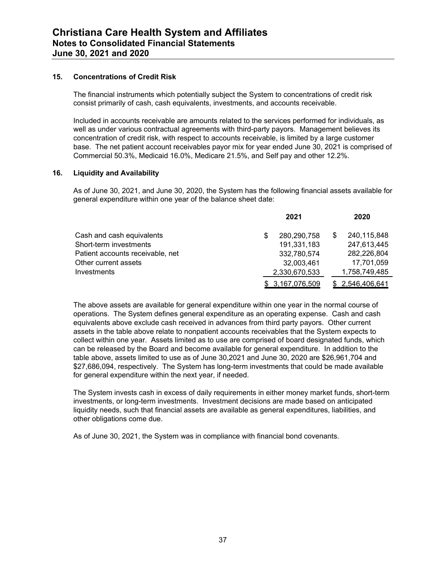## **15. Concentrations of Credit Risk**

The financial instruments which potentially subject the System to concentrations of credit risk consist primarily of cash, cash equivalents, investments, and accounts receivable.

Included in accounts receivable are amounts related to the services performed for individuals, as well as under various contractual agreements with third-party payors. Management believes its concentration of credit risk, with respect to accounts receivable, is limited by a large customer base. The net patient account receivables payor mix for year ended June 30, 2021 is comprised of Commercial 50.3%, Medicaid 16.0%, Medicare 21.5%, and Self pay and other 12.2%.

## **16. Liquidity and Availability**

As of June 30, 2021, and June 30, 2020, the System has the following financial assets available for general expenditure within one year of the balance sheet date:

|                                  | 2021            | 2020            |  |  |
|----------------------------------|-----------------|-----------------|--|--|
| Cash and cash equivalents        | 280,290,758     | 240,115,848     |  |  |
| Short-term investments           | 191,331,183     | 247,613,445     |  |  |
| Patient accounts receivable, net | 332,780,574     | 282,226,804     |  |  |
| Other current assets             | 32,003,461      | 17,701,059      |  |  |
| Investments                      | 2,330,670,533   | 1,758,749,485   |  |  |
|                                  | \$3,167,076,509 | \$2,546,406,641 |  |  |

The above assets are available for general expenditure within one year in the normal course of operations. The System defines general expenditure as an operating expense. Cash and cash equivalents above exclude cash received in advances from third party payors. Other current assets in the table above relate to nonpatient accounts receivables that the System expects to collect within one year. Assets limited as to use are comprised of board designated funds, which can be released by the Board and become available for general expenditure. In addition to the table above, assets limited to use as of June 30,2021 and June 30, 2020 are \$26,961,704 and \$27,686,094, respectively. The System has long-term investments that could be made available for general expenditure within the next year, if needed.

The System invests cash in excess of daily requirements in either money market funds, short-term investments, or long-term investments. Investment decisions are made based on anticipated liquidity needs, such that financial assets are available as general expenditures, liabilities, and other obligations come due.

As of June 30, 2021, the System was in compliance with financial bond covenants.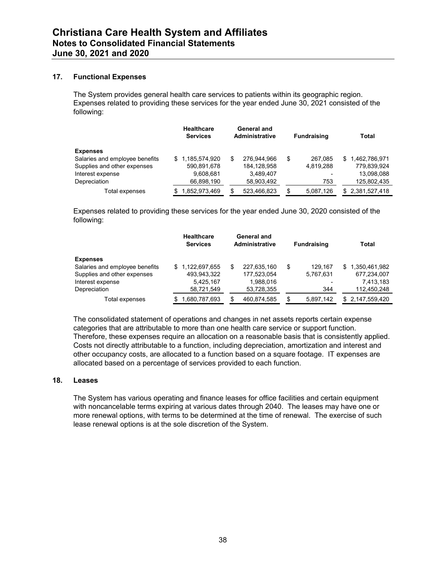# **17. Functional Expenses**

The System provides general health care services to patients within its geographic region. Expenses related to providing these services for the year ended June 30, 2021 consisted of the following:

|                                | <b>Healthcare</b><br><b>Services</b> | General and<br><b>Administrative</b> | <b>Fundraising</b> | Total               |
|--------------------------------|--------------------------------------|--------------------------------------|--------------------|---------------------|
| <b>Expenses</b>                |                                      |                                      |                    |                     |
| Salaries and employee benefits | \$1,185,574,920                      | 276.944.966<br>S                     | \$<br>267.085      | 1,462,786,971<br>\$ |
| Supplies and other expenses    | 590,891,678                          | 184,128,958                          | 4,819,288          | 779,839,924         |
| Interest expense               | 9,608,681                            | 3,489,407                            | ٠                  | 13,098,088          |
| Depreciation                   | 66,898,190                           | 58,903,492                           | 753                | 125,802,435         |
| Гotal expenses                 | 1,852,973,469                        | 523,466,823                          | \$<br>5,087,126    | 2,381,527,418<br>S. |

Expenses related to providing these services for the year ended June 30, 2020 consisted of the following:

|                                | <b>Healthcare</b><br><b>Services</b> | General and<br><b>Administrative</b> | <b>Fundraising</b> | Total                |
|--------------------------------|--------------------------------------|--------------------------------------|--------------------|----------------------|
| <b>Expenses</b>                |                                      |                                      |                    |                      |
| Salaries and employee benefits | \$1,122,697,655                      | 227,635,160                          | \$<br>129.167      | \$1.350.461.982      |
| Supplies and other expenses    | 493.943.322                          | 177.523.054                          | 5,767,631          | 677,234,007          |
| Interest expense               | 5,425,167                            | 1,988,016                            | ۰                  | 7.413.183            |
| Depreciation                   | 58,721,549                           | 53,728,355                           | 344                | 112,450,248          |
| Total expenses                 | 1,680,787,693                        | 460,874,585                          | \$<br>5.897.142    | 2,147,559,420<br>\$. |

The consolidated statement of operations and changes in net assets reports certain expense categories that are attributable to more than one health care service or support function. Therefore, these expenses require an allocation on a reasonable basis that is consistently applied. Costs not directly attributable to a function, including depreciation, amortization and interest and other occupancy costs, are allocated to a function based on a square footage. IT expenses are allocated based on a percentage of services provided to each function.

# **18. Leases**

The System has various operating and finance leases for office facilities and certain equipment with noncancelable terms expiring at various dates through 2040. The leases may have one or more renewal options, with terms to be determined at the time of renewal. The exercise of such lease renewal options is at the sole discretion of the System.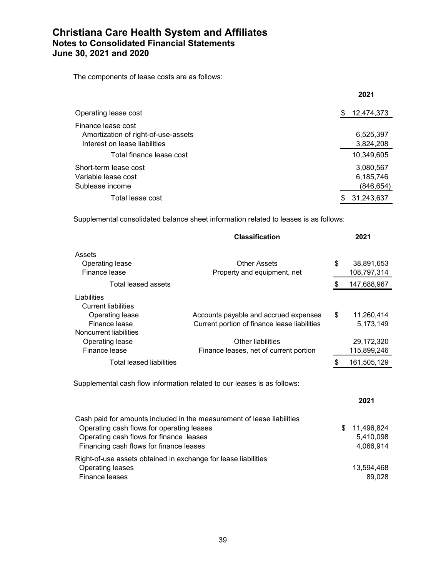The components of lease costs are as follows:

|                                                                                            | 2021                                |
|--------------------------------------------------------------------------------------------|-------------------------------------|
| Operating lease cost                                                                       | 12,474,373<br>S                     |
| Finance lease cost<br>Amortization of right-of-use-assets<br>Interest on lease liabilities | 6,525,397<br>3,824,208              |
| Total finance lease cost                                                                   | 10,349,605                          |
| Short-term lease cost<br>Variable lease cost<br>Sublease income                            | 3,080,567<br>6,185,746<br>(846,654) |
| Total lease cost                                                                           | 31,243,637                          |

Supplemental consolidated balance sheet information related to leases is as follows:

|                                           | <b>Classification</b>                                                   | 2021              |
|-------------------------------------------|-------------------------------------------------------------------------|-------------------|
| Assets                                    |                                                                         |                   |
| Operating lease                           | Other Assets                                                            | \$<br>38,891,653  |
| Finance lease                             | Property and equipment, net                                             | 108,797,314       |
| Total leased assets                       |                                                                         | \$<br>147,688,967 |
| Liabilities                               |                                                                         |                   |
| <b>Current liabilities</b>                |                                                                         |                   |
| Operating lease                           | Accounts payable and accrued expenses                                   | \$<br>11,260,414  |
| Finance lease                             | Current portion of finance lease liabilities                            | 5,173,149         |
| Noncurrent liabilities                    |                                                                         |                   |
| Operating lease                           | Other liabilities                                                       | 29,172,320        |
| Finance lease                             | Finance leases, net of current portion                                  | 115,899,246       |
| <b>Total leased liabilities</b>           |                                                                         | \$<br>161,505,129 |
|                                           | Supplemental cash flow information related to our leases is as follows: |                   |
|                                           |                                                                         | 2021              |
|                                           | Cash paid for amounts included in the measurement of lease liabilities  |                   |
| Operating cash flows for operating leases |                                                                         | \$<br>11,496,824  |
| Operating cash flows for finance leases   |                                                                         | 5,410,098         |
| Financing cash flows for finance leases   |                                                                         | 4,066,914         |
|                                           | Right-of-use assets obtained in exchange for lease liabilities          |                   |
| Operating leases                          |                                                                         | 13,594,468        |
| <b>Finance leases</b>                     |                                                                         | 89,028            |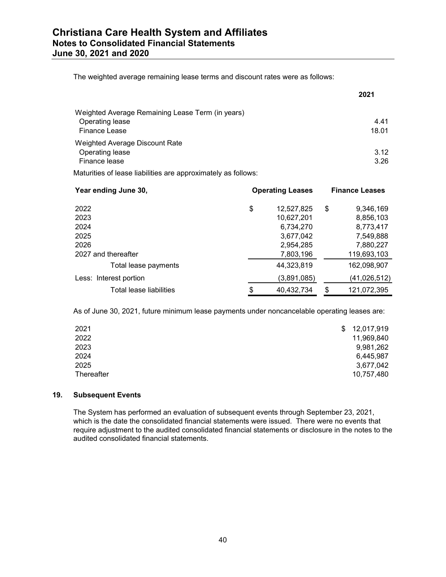The weighted average remaining lease terms and discount rates were as follows:

|                                                  | 2021  |
|--------------------------------------------------|-------|
| Weighted Average Remaining Lease Term (in years) |       |
| Operating lease                                  | 4.41  |
| <b>Finance Lease</b>                             | 18.01 |
| Weighted Average Discount Rate                   |       |
| Operating lease                                  | 3.12  |
| Finance lease                                    | 3.26  |

Maturities of lease liabilities are approximately as follows:

| Year ending June 30,    | <b>Operating Leases</b> |             | <b>Finance Leases</b> |              |  |
|-------------------------|-------------------------|-------------|-----------------------|--------------|--|
| 2022                    | \$                      | 12,527,825  | \$                    | 9,346,169    |  |
| 2023                    |                         | 10,627,201  |                       | 8,856,103    |  |
| 2024                    |                         | 6,734,270   |                       | 8,773,417    |  |
| 2025                    |                         | 3,677,042   |                       | 7,549,888    |  |
| 2026                    |                         | 2,954,285   |                       | 7,880,227    |  |
| 2027 and thereafter     |                         | 7,803,196   |                       | 119,693,103  |  |
| Total lease payments    |                         | 44,323,819  |                       | 162,098,907  |  |
| Less: Interest portion  |                         | (3,891,085) |                       | (41,026,512) |  |
| Total lease liabilities | \$                      | 40,432,734  | \$                    | 121,072,395  |  |

As of June 30, 2021, future minimum lease payments under noncancelable operating leases are:

| 2021       | \$12,017,919 |
|------------|--------------|
| 2022       | 11,969,840   |
| 2023       | 9,981,262    |
| 2024       | 6,445,987    |
| 2025       | 3,677,042    |
| Thereafter | 10,757,480   |
|            |              |

## **19. Subsequent Events**

The System has performed an evaluation of subsequent events through September 23, 2021, which is the date the consolidated financial statements were issued. There were no events that require adjustment to the audited consolidated financial statements or disclosure in the notes to the audited consolidated financial statements.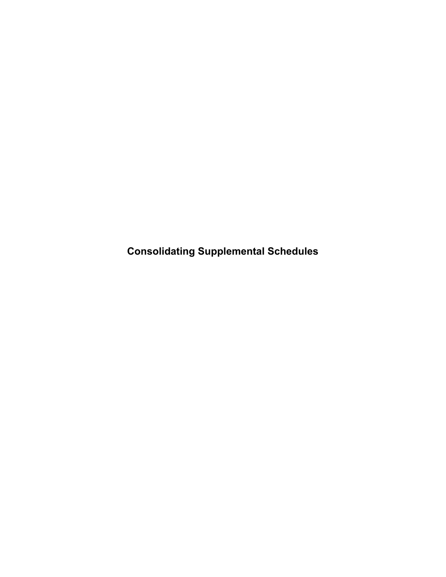**Consolidating Supplemental Schedules**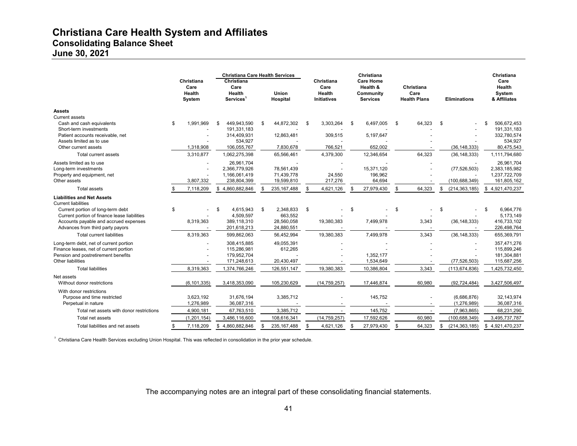|                                                                           | Christiana<br>Care<br>Health<br>System | Christiana<br>Care<br>Health<br>$S$ ervices <sup>1</sup> |     | <b>Christiana Care Health Services</b><br>Union<br>Hospital |    | Christiana<br>Care<br>Health<br><b>Initiatives</b> |    | Christiana<br><b>Care Home</b><br>Health &<br>Community<br><b>Services</b> |     | Christiana<br>Care<br><b>Health Plans</b> |      | <b>Eliminations</b>      |     | Christiana<br>Care<br>Health<br>System<br>& Affiliates |
|---------------------------------------------------------------------------|----------------------------------------|----------------------------------------------------------|-----|-------------------------------------------------------------|----|----------------------------------------------------|----|----------------------------------------------------------------------------|-----|-------------------------------------------|------|--------------------------|-----|--------------------------------------------------------|
| Assets<br><b>Current assets</b>                                           |                                        |                                                          |     |                                                             |    |                                                    |    |                                                                            |     |                                           |      |                          |     |                                                        |
| Cash and cash equivalents                                                 | \$<br>1,991,969                        | \$<br>449,943,590                                        | \$. | 44,872,302                                                  | \$ | 3,303,264                                          | -S | 6,497,005                                                                  | -\$ | 64,323                                    | - \$ |                          |     | 506,672,453                                            |
| Short-term investments                                                    |                                        | 191,331,183                                              |     |                                                             |    |                                                    |    |                                                                            |     |                                           |      |                          |     | 191,331,183                                            |
| Patient accounts receivable, net<br>Assets limited as to use              |                                        | 314,409,931<br>534,927                                   |     | 12,863,481                                                  |    | 309,515                                            |    | 5,197,647                                                                  |     |                                           |      |                          |     | 332,780,574<br>534,927                                 |
| Other current assets                                                      | 1,318,908                              | 106,055,767                                              |     | 7,830,678                                                   |    | 766,521                                            |    | 652,002                                                                    |     |                                           |      | (36, 148, 333)           |     | 80,475,543                                             |
| Total current assets                                                      | 3,310,877                              | 1,062,275,398                                            |     | 65,566,461                                                  |    | 4,379,300                                          |    | 12,346,654                                                                 |     | 64,323                                    |      | (36, 148, 333)           |     | 1,111,794,680                                          |
| Assets limited as to use                                                  |                                        | 26,961,704                                               |     |                                                             |    |                                                    |    |                                                                            |     |                                           |      | $\overline{\phantom{a}}$ |     | 26,961,704                                             |
| Long-term investments                                                     |                                        | 2.366.779.926                                            |     | 78.561.439                                                  |    |                                                    |    | 15.371.120                                                                 |     |                                           |      | (77, 526, 503)           |     | 2,383,185,982                                          |
| Property and equipment, net<br>Other assets                               |                                        | 1,166,061,419                                            |     | 71,439,778                                                  |    | 24,550<br>217,276                                  |    | 196,962<br>64,694                                                          |     |                                           |      |                          |     | 1,237,722,709                                          |
|                                                                           | 3,807,332                              | 238,804,399                                              |     | 19,599,810                                                  |    |                                                    |    |                                                                            |     |                                           |      | (100, 688, 349)          |     | 161,805,162                                            |
| <b>Total assets</b>                                                       | 7,118,209                              | \$4,860,882,846                                          |     | 235, 167, 488                                               | \$ | 4,621,126                                          | \$ | 27,979,430                                                                 | \$  | 64,323                                    | \$   | (214, 363, 185)          |     | \$4,921,470,237                                        |
| <b>Liabilities and Net Assets</b><br><b>Current liabilities</b>           |                                        |                                                          |     |                                                             |    |                                                    |    |                                                                            |     |                                           |      |                          |     |                                                        |
| Current portion of long-term debt                                         | \$                                     | \$<br>4,615,943                                          | \$  | 2,348,833                                                   | \$ |                                                    | \$ |                                                                            | \$  |                                           | \$   |                          | \$. | 6,964,776                                              |
| Current portion of finance lease liabilities                              |                                        | 4,509,597                                                |     | 663,552                                                     |    |                                                    |    |                                                                            |     |                                           |      |                          |     | 5,173,149                                              |
| Accounts payable and accrued expenses<br>Advances from third party payors | 8,319,363                              | 389,118,310<br>201,618,213                               |     | 28,560,058<br>24,880,551                                    |    | 19,380,383                                         |    | 7,499,978                                                                  |     | 3,343                                     |      | (36, 148, 333)           |     | 416,733,102<br>226,498,764                             |
| <b>Total current liabilities</b>                                          | 8,319,363                              | 599,862,063                                              |     | 56,452,994                                                  |    | 19,380,383                                         |    | 7,499,978                                                                  |     | 3,343                                     |      | (36, 148, 333)           |     | 655,369,791                                            |
| Long-term debt, net of current portion                                    |                                        | 308,415,885                                              |     | 49,055,391                                                  |    |                                                    |    |                                                                            |     |                                           |      |                          |     | 357,471,276                                            |
| Finance leases, net of current portion                                    |                                        | 115,286,981                                              |     | 612,265                                                     |    |                                                    |    |                                                                            |     |                                           |      |                          |     | 115,899,246                                            |
| Pension and postretirement benefits                                       |                                        | 179,952,704                                              |     |                                                             |    |                                                    |    | 1,352,177                                                                  |     |                                           |      |                          |     | 181,304,881                                            |
| Other liabilities                                                         |                                        | 171,248,613                                              |     | 20,430,497                                                  |    |                                                    |    | 1,534,649                                                                  |     |                                           |      | (77, 526, 503)           |     | 115,687,256                                            |
| <b>Total liabilities</b>                                                  | 8,319,363                              | 1,374,766,246                                            |     | 126,551,147                                                 |    | 19,380,383                                         |    | 10,386,804                                                                 |     | 3,343                                     |      | (113, 674, 836)          |     | 1,425,732,450                                          |
| Net assets                                                                |                                        |                                                          |     |                                                             |    |                                                    |    |                                                                            |     |                                           |      |                          |     |                                                        |
| Without donor restrictions                                                | (6, 101, 335)                          | 3,418,353,090                                            |     | 105,230,629                                                 |    | (14, 759, 257)                                     |    | 17,446,874                                                                 |     | 60,980                                    |      | (92, 724, 484)           |     | 3,427,506,497                                          |
| With donor restrictions                                                   |                                        |                                                          |     |                                                             |    |                                                    |    |                                                                            |     |                                           |      |                          |     |                                                        |
| Purpose and time restricted                                               | 3,623,192                              | 31,676,194                                               |     | 3,385,712                                                   |    |                                                    |    | 145,752                                                                    |     |                                           |      | (6,686,876)              |     | 32,143,974                                             |
| Perpetual in nature                                                       | 1,276,989                              | 36,087,316                                               |     |                                                             |    |                                                    |    |                                                                            |     |                                           |      | (1, 276, 989)            |     | 36,087,316                                             |
| Total net assets with donor restrictions                                  | 4,900,181                              | 67,763,510                                               |     | 3,385,712                                                   |    |                                                    |    | 145,752                                                                    |     |                                           |      | (7,963,865)              |     | 68,231,290                                             |
| Total net assets                                                          | (1, 201, 154)                          | 3,486,116,600                                            |     | 108,616,341                                                 |    | (14, 759, 257)                                     |    | 17,592,626                                                                 |     | 60,980                                    |      | (100, 688, 349)          |     | 3,495,737,787                                          |
| Total liabilities and net assets                                          | \$<br>7,118,209                        | \$4,860,882,846                                          | \$  | 235, 167, 488                                               | \$ | 4,621,126                                          | \$ | 27,979,430                                                                 | \$  | 64,323                                    | \$   | (214, 363, 185)          |     | \$4,921,470,237                                        |

*1* Christiana Care Health Services excluding Union Hospital. This was reflected in consolidation in the prior year schedule.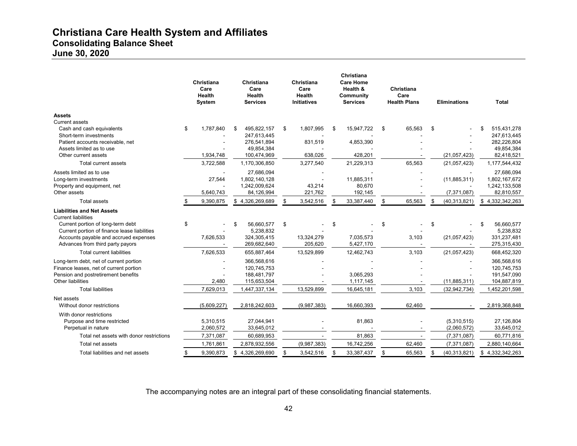# **Christiana Care Health System and Affiliates Consolidating Balance Sheet June 30, 2020**

|                                                                                  | Christiana<br>Care<br>Health<br>System | Christiana<br>Care<br>Health<br><b>Services</b> |                             |    | Christiana<br>Care<br>Health<br><b>Initiatives</b> | Christiana<br><b>Care Home</b><br>Health &<br>Community<br><b>Services</b> | Christiana<br>Care<br><b>Health Plans</b> | <b>Eliminations</b>  |    | <b>Total</b>                |
|----------------------------------------------------------------------------------|----------------------------------------|-------------------------------------------------|-----------------------------|----|----------------------------------------------------|----------------------------------------------------------------------------|-------------------------------------------|----------------------|----|-----------------------------|
| <b>Assets</b><br><b>Current assets</b>                                           |                                        |                                                 |                             |    |                                                    |                                                                            |                                           |                      |    |                             |
| Cash and cash equivalents                                                        | \$<br>1,787,840                        | \$                                              | 495,822,157                 | \$ | 1,807,995                                          | \$<br>15,947,722                                                           | \$<br>65,563                              | \$                   | \$ | 515,431,278                 |
| Short-term investments<br>Patient accounts receivable, net                       |                                        |                                                 | 247.613.445<br>276,541,894  |    | 831,519                                            | 4,853,390                                                                  |                                           |                      |    | 247.613.445<br>282,226,804  |
| Assets limited as to use                                                         |                                        |                                                 | 49,854,384                  |    |                                                    |                                                                            |                                           |                      |    | 49,854,384                  |
| Other current assets                                                             | 1,934,748                              |                                                 | 100,474,969                 |    | 638,026                                            | 428,201                                                                    |                                           | (21, 057, 423)       |    | 82,418,521                  |
| Total current assets                                                             | 3,722,588                              |                                                 | 1,170,306,850               |    | 3,277,540                                          | 21,229,313                                                                 | 65,563                                    | (21,057,423)         |    | 1,177,544,432               |
| Assets limited as to use                                                         |                                        |                                                 | 27,686,094                  |    |                                                    |                                                                            |                                           |                      |    | 27,686,094                  |
| Long-term investments                                                            | 27,544                                 |                                                 | 1,802,140,128               |    |                                                    | 11,885,311                                                                 |                                           | (11, 885, 311)       |    | 1,802,167,672               |
| Property and equipment, net<br>Other assets                                      | 5,640,743                              |                                                 | 1,242,009,624<br>84,126,994 |    | 43,214<br>221,762                                  | 80,670<br>192,145                                                          |                                           | (7, 371, 087)        |    | 1,242,133,508<br>82,810,557 |
| <b>Total assets</b>                                                              | \$<br>9,390,875                        |                                                 | \$4,326,269,689             |    | 3,542,516                                          | \$<br>33,387,440                                                           | \$<br>65,563                              | \$<br>(40, 313, 821) | \$ | 4,332,342,263               |
| <b>Liabilities and Net Assets</b>                                                |                                        |                                                 |                             |    |                                                    |                                                                            |                                           |                      |    |                             |
| <b>Current liabilities</b>                                                       |                                        |                                                 |                             |    |                                                    |                                                                            |                                           |                      |    |                             |
| Current portion of long-term debt                                                | \$                                     | \$                                              | 56,660,577                  | \$ |                                                    | \$                                                                         | \$                                        | \$                   | £. | 56,660,577                  |
| Current portion of finance lease liabilities                                     |                                        |                                                 | 5,238,832                   |    |                                                    |                                                                            |                                           |                      |    | 5,238,832                   |
| Accounts payable and accrued expenses                                            | 7,626,533                              |                                                 | 324,305,415                 |    | 13,324,279                                         | 7,035,573                                                                  | 3,103                                     | (21, 057, 423)       |    | 331,237,481                 |
| Advances from third party payors<br><b>Total current liabilities</b>             | 7,626,533                              |                                                 | 269,682,640                 |    | 205,620                                            | 5,427,170<br>12,462,743                                                    |                                           |                      |    | 275,315,430                 |
|                                                                                  |                                        |                                                 | 655,887,464                 |    | 13,529,899                                         |                                                                            | 3,103                                     | (21,057,423)         |    | 668,452,320                 |
| Long-term debt, net of current portion<br>Finance leases, net of current portion |                                        |                                                 | 366,568,616<br>120,745,753  |    |                                                    |                                                                            |                                           |                      |    | 366,568,616<br>120,745,753  |
| Pension and postretirement benefits                                              |                                        |                                                 | 188,481,797                 |    |                                                    | 3,065,293                                                                  |                                           |                      |    | 191,547,090                 |
| <b>Other liabilities</b>                                                         | 2,480                                  |                                                 | 115,653,504                 |    |                                                    | 1,117,145                                                                  |                                           | (11, 885, 311)       |    | 104,887,819                 |
| <b>Total liabilities</b>                                                         | 7,629,013                              |                                                 | 1,447,337,134               |    | 13,529,899                                         | 16,645,181                                                                 | 3,103                                     | (32, 942, 734)       |    | 1,452,201,598               |
| Net assets                                                                       |                                        |                                                 |                             |    |                                                    |                                                                            |                                           |                      |    |                             |
| Without donor restrictions                                                       | (5,609,227)                            |                                                 | 2,818,242,603               |    | (9,987,383)                                        | 16,660,393                                                                 | 62,460                                    |                      |    | 2,819,368,848               |
| With donor restrictions                                                          |                                        |                                                 |                             |    |                                                    |                                                                            |                                           |                      |    |                             |
| Purpose and time restricted                                                      | 5,310,515                              |                                                 | 27,044,941                  |    |                                                    | 81,863                                                                     |                                           | (5,310,515)          |    | 27,126,804                  |
| Perpetual in nature                                                              | 2,060,572                              |                                                 | 33,645,012                  |    |                                                    |                                                                            |                                           | (2,060,572)          |    | 33,645,012                  |
| Total net assets with donor restrictions                                         | 7,371,087                              |                                                 | 60,689,953                  |    |                                                    | 81,863                                                                     |                                           | (7, 371, 087)        |    | 60,771,816                  |
| Total net assets                                                                 | 1,761,861                              |                                                 | 2,878,932,556               |    | (9,987,383)                                        | 16,742,256                                                                 | 62,460                                    | (7, 371, 087)        |    | 2,880,140,664               |
| Total liabilities and net assets                                                 | \$<br>9,390,873                        |                                                 | \$4,326,269,690             | \$ | 3,542,516                                          | \$<br>33,387,437                                                           | \$<br>65,563                              | \$<br>(40, 313, 821) |    | \$4,332,342,263             |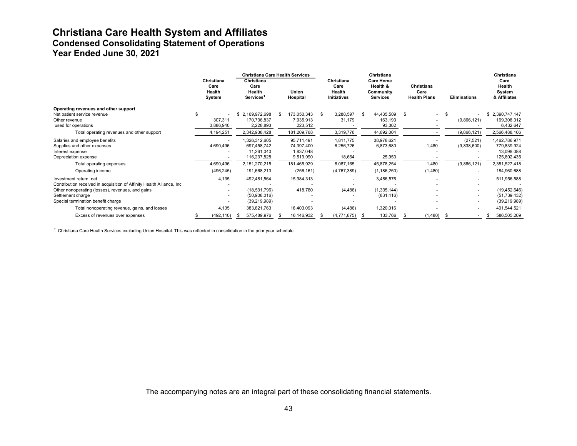# **Christiana Care Health System and Affiliates Condensed Consolidating Statement of Operations Year Ended June 30, 2021**

|                                                                                                                                                     | Christiana<br>Care<br>Health<br>System |      | Christiana<br>Care<br>Health<br>Services <sup>1</sup>     | <b>Christiana Care Health Services</b><br><b>Union</b><br>Hospital |     | Christiana<br>Care<br>Health<br><b>Initiatives</b> |      | Christiana<br><b>Care Home</b><br>Health &<br>Community<br><b>Services</b> | Christiana<br>Care<br><b>Health Plans</b> |         | <b>Eliminations</b> |                          |   | Christiana<br>Care<br>Health<br>System<br>& Affiliates    |
|-----------------------------------------------------------------------------------------------------------------------------------------------------|----------------------------------------|------|-----------------------------------------------------------|--------------------------------------------------------------------|-----|----------------------------------------------------|------|----------------------------------------------------------------------------|-------------------------------------------|---------|---------------------|--------------------------|---|-----------------------------------------------------------|
| Operating revenues and other support<br>Net patient service revenue<br>Other revenue<br>used for operations                                         | 307,311<br>3,886,940                   |      | 2,169,972,698<br>170,736,837<br>2,228,893                 | 173,050,343<br>7,935,913<br>223,512                                | -\$ | 3,288,597<br>31,179                                | \$   | 44,435,509<br>163,193<br>93,302                                            | -S                                        | ۰.      | \$                  | (9,866,121)              | S | 2,390,747,147<br>169,308,312<br>6,432,647                 |
| Total operating revenues and other support                                                                                                          | 4,194,251                              |      | 2,342,938,428                                             | 181,209,768                                                        |     | 3,319,776                                          |      | 44,692,004                                                                 |                                           |         |                     | (9,866,121)              |   | 2,566,488,106                                             |
| Salaries and employee benefits<br>Supplies and other expenses<br>Interest expense<br>Depreciation expense                                           | 4,690,496                              |      | 1,326,312,605<br>697,458,742<br>11,261,040<br>116,237,828 | 95,711,491<br>74,397,400<br>1,837,048<br>9,519,990                 |     | 1,811,775<br>6,256,726<br>18,664                   |      | 38,978,621<br>6,873,680<br>25,953                                          |                                           | 1,480   |                     | (27, 521)<br>(9,838,600) |   | 1,462,786,971<br>779,839,924<br>13,098,088<br>125,802,435 |
| Total operating expenses                                                                                                                            | 4,690,496                              |      | 2,151,270,215                                             | 181,465,929                                                        |     | 8,087,165                                          |      | 45,878,254                                                                 |                                           | 1,480   |                     | (9,866,121)              |   | 2,381,527,418                                             |
| Operating income                                                                                                                                    | (496, 245)                             |      | 191,668,213                                               | (256, 161)                                                         |     | (4,767,389)                                        |      | (1, 186, 250)                                                              |                                           | (1,480) |                     |                          |   | 184,960,688                                               |
| Investment return, net<br>Contribution received in acquisition of Affinity Health Alliance, Inc<br>Other nonoperating (losses), revenues, and gains | 4,135                                  |      | 492,481,564<br>(18, 531, 796)                             | 15,984,313<br>418,780                                              |     | (4, 486)                                           |      | 3,486,576<br>(1, 335, 144)                                                 |                                           |         |                     |                          |   | 511,956,588<br>(19, 452, 646)                             |
| Settlement charge<br>Special termination benefit charge                                                                                             | $\sim$                                 |      | (50,908,016)<br>(39, 219, 989)                            |                                                                    |     |                                                    |      | (831, 416)                                                                 |                                           |         |                     |                          |   | (51, 739, 432)<br>(39, 219, 989)                          |
| Total nonoperating revenue, gains, and losses                                                                                                       | 4,135                                  |      | 383,821,763                                               | 16,403,093                                                         |     | (4, 486)                                           |      | ,320,016                                                                   |                                           |         |                     |                          |   | 401,544,521                                               |
| Excess of revenues over expenses                                                                                                                    | (492, 110)                             | - 56 | 575,489,976                                               | 16,146,932                                                         |     | (4,771,875)                                        | - \$ | 133,766                                                                    |                                           | (1,480) | - \$                |                          | S | 586,505,209                                               |

*1* Christiana Care Health Services excluding Union Hospital. This was reflected in consolidation in the prior year schedule.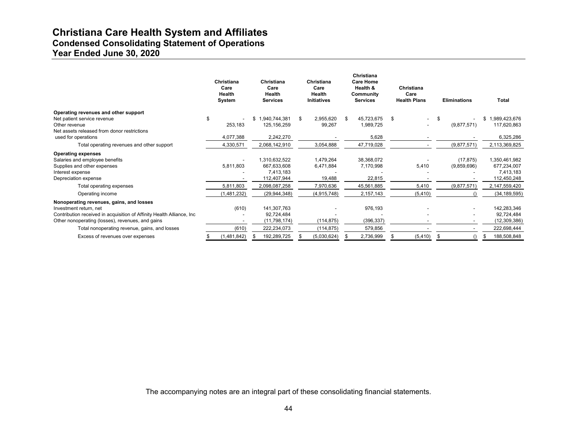# **Christiana Care Health System and Affiliates Condensed Consolidating Statement of Operations Year Ended June 30, 2020**

|                                                                        | Christiana<br>Care<br>Health<br>System |             | Christiana<br>Care<br>Health<br><b>Services</b> |                | Christiana<br>Care<br>Health<br><b>Initiatives</b> |      | Christiana<br><b>Care Home</b><br>Health &<br>Community<br><b>Services</b> | Christiana<br>Care<br><b>Health Plans</b> | <b>Eliminations</b> |             |  | Total           |  |  |
|------------------------------------------------------------------------|----------------------------------------|-------------|-------------------------------------------------|----------------|----------------------------------------------------|------|----------------------------------------------------------------------------|-------------------------------------------|---------------------|-------------|--|-----------------|--|--|
| Operating revenues and other support<br>Net patient service revenue    | \$                                     |             | \$                                              | 1,940,744,381  | \$<br>2,955,620                                    | - \$ | 45,723,675                                                                 | \$<br>$\overline{\phantom{a}}$            | \$                  |             |  | \$1,989,423,676 |  |  |
| Other revenue                                                          |                                        | 253,183     |                                                 | 125, 156, 259  | 99,267                                             |      | 1,989,725                                                                  |                                           |                     | (9,877,571) |  | 117,620,863     |  |  |
| Net assets released from donor restrictions                            |                                        |             |                                                 |                |                                                    |      |                                                                            |                                           |                     |             |  |                 |  |  |
| used for operations                                                    |                                        | 4,077,388   |                                                 | 2,242,270      |                                                    |      | 5,628                                                                      |                                           |                     |             |  | 6,325,286       |  |  |
| Total operating revenues and other support                             |                                        | 4,330,571   |                                                 | 2,068,142,910  | 3,054,888                                          |      | 47,719,028                                                                 |                                           |                     | (9,877,571) |  | 2,113,369,825   |  |  |
| <b>Operating expenses</b>                                              |                                        |             |                                                 |                |                                                    |      |                                                                            |                                           |                     |             |  |                 |  |  |
| Salaries and employee benefits                                         |                                        |             |                                                 | 1,310,632,522  | 1,479,264                                          |      | 38,368,072                                                                 |                                           |                     | (17, 875)   |  | 1,350,461,982   |  |  |
| Supplies and other expenses                                            |                                        | 5,811,803   |                                                 | 667,633,608    | 6,471,884                                          |      | 7,170,998                                                                  | 5,410                                     |                     | (9,859,696) |  | 677,234,007     |  |  |
| Interest expense                                                       |                                        |             |                                                 | 7,413,183      |                                                    |      |                                                                            |                                           |                     |             |  | 7,413,183       |  |  |
| Depreciation expense                                                   |                                        |             |                                                 | 112,407,944    | 19,488                                             |      | 22,815                                                                     |                                           |                     |             |  | 112,450,248     |  |  |
| Total operating expenses                                               |                                        | 5,811,803   |                                                 | 2,098,087,258  | 7,970,636                                          |      | 45,561,885                                                                 | 5,410                                     |                     | (9,877,571) |  | 2,147,559,420   |  |  |
| Operating income                                                       |                                        | (1,481,232) |                                                 | (29, 944, 348) | (4,915,748)                                        |      | 2, 157, 143                                                                | (5, 410)                                  |                     |             |  | (34, 189, 595)  |  |  |
| Nonoperating revenues, gains, and losses                               |                                        |             |                                                 |                |                                                    |      |                                                                            |                                           |                     |             |  |                 |  |  |
| Investment return, net                                                 |                                        | (610)       |                                                 | 141.307.763    |                                                    |      | 976,193                                                                    |                                           |                     |             |  | 142,283,346     |  |  |
| Contribution received in acquisition of Affinity Health Alliance, Inc. |                                        |             |                                                 | 92,724,484     |                                                    |      |                                                                            |                                           |                     |             |  | 92,724,484      |  |  |
| Other nonoperating (losses), revenues, and gains                       |                                        |             |                                                 | (11,798,174)   | (114, 875)                                         |      | (396, 337)                                                                 |                                           |                     |             |  | (12, 309, 386)  |  |  |
| Total nonoperating revenue, gains, and losses                          |                                        | (610)       |                                                 | 222,234,073    | (114, 875)                                         |      | 579,856                                                                    |                                           |                     |             |  | 222,698,444     |  |  |
| Excess of revenues over expenses                                       |                                        | (1,481,842) |                                                 | 192,289,725    | (5,030,624)                                        |      | 2,736,999                                                                  | (5, 410)                                  |                     |             |  | 188,508,848     |  |  |